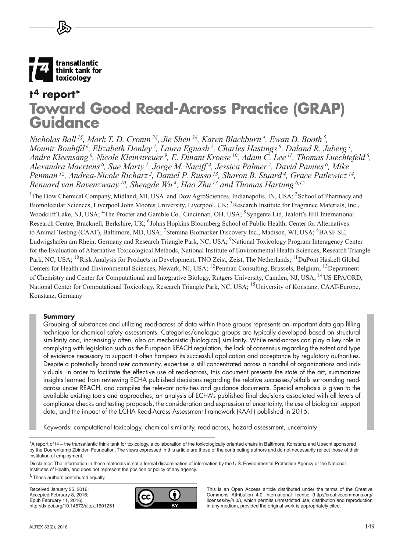

# **t4 report\* Toward Good Read-Across Practice (GRAP) Guidance**

*Nicholas Ball 1§, Mark T. D. Cronin 2§, Jie Shen 3§, Karen Blackburn 4, Ewan D. Booth 5, Mounir Bouhifd 6, Elizabeth Donley 7, Laura Egnash 7, Charles Hastings 8, Daland R. Juberg 1, Andre Kleensang 6, Nicole Kleinstreuer 9, E. Dinant Kroese 10, Adam C. Lee 11, Thomas Luechtefeld <sup>6</sup> ,*  Alexandra Maertens<sup>6</sup>, Sue Marty<sup>1</sup>, Jorge M. Naciff<sup>4</sup>, Jessica Palmer<sup>7</sup>, David Pamies<sup>6</sup>, Mike *Penman 12, Andrea-Nicole Richarz 2, Daniel P. Russo 13, Sharon B. Stuard 4, Grace Patlewicz 14, Bennard van Ravenzwaay 10, Shengde Wu 4, Hao Zhu 13 and Thomas Hartung 6,15*

<sup>1</sup>The Dow Chemical Company, Midland, MI, USA and Dow AgroSciences, Indianapolis, IN, USA; <sup>2</sup>School of Pharmacy and Biomolecular Sciences, Liverpool John Moores University, Liverpool, UK; <sup>3</sup>Research Institute for Fragrance Materials, Inc., Woodcliff Lake, NJ, USA; <sup>4</sup>The Procter and Gamble Co., Cincinnati, OH, USA; <sup>5</sup>Syngenta Ltd, Jealott's Hill International Research Centre, Bracknell, Berkshire, UK; <sup>6</sup>Johns Hopkins Bloomberg School of Public Health, Center for Alternatives to Animal Testing (CAAT), Baltimore, MD, USA; <sup>7</sup>Stemina Biomarker Discovery Inc., Madison, WI, USA; <sup>8</sup>BASF SE, Ludwigshafen am Rhein, Germany and Research Triangle Park, NC, USA; <sup>9</sup>National Toxicology Program Interagency Center for the Evaluation of Alternative Toxicological Methods, National Institute of Environmental Health Sciences, Research Triangle Park, NC, USA; <sup>10</sup>Risk Analysis for Products in Development, TNO Zeist, Zeist, The Netherlands; <sup>11</sup>DuPont Haskell Global Centers for Health and Environmental Sciences, Newark, NJ, USA; <sup>12</sup>Penman Consulting, Brussels, Belgium; <sup>13</sup>Department of Chemistry and Center for Computational and Integrative Biology, Rutgers University, Camden, NJ, USA; 14US EPA/ORD, National Center for Computational Toxicology, Research Triangle Park, NC, USA; <sup>15</sup> University of Konstanz, CAAT-Europe, Konstanz, Germany

## **Summary**

Grouping of substances and utilizing read-across of data within those groups represents an important data gap filling technique for chemical safety assessments. Categories/analogue groups are typically developed based on structural similarity and, increasingly often, also on mechanistic (biological) similarity. While read-across can play a key role in complying with legislation such as the European REACH regulation, the lack of consensus regarding the extent and type of evidence necessary to support it often hampers its successful application and acceptance by regulatory authorities. Despite a potentially broad user community, expertise is still concentrated across a handful of organizations and individuals. In order to facilitate the effective use of read-across, this document presents the state of the art, summarizes insights learned from reviewing ECHA published decisions regarding the relative successes/pitfalls surrounding readacross under REACH, and compiles the relevant activities and guidance documents. Special emphasis is given to the available existing tools and approaches, an analysis of ECHA's published final decisions associated with all levels of compliance checks and testing proposals, the consideration and expression of uncertainty, the use of biological support data, and the impact of the ECHA Read-Across Assessment Framework (RAAF) published in 2015.

Keywords: computational toxicology, chemical similarity, read-across, hazard assessment, uncertainty

§ These authors contributed equally.

Received January 25, 2016; Accepted February 8, 2016; Epub February 11, 2016; <http://dx.doi.org/10.14573/altex.1601251>



This is an Open Access article distributed under the terms of the Creative Commons Attribution 4.0 International license ([http://creativecommons.or](http://creativecommons.org/licenses/by/4.0/)g/ [licenses/by/4.0](http://creativecommons.org/licenses/by/4.0/)/), which permits unrestricted use, distribution and reproduction in any medium, provided the original work is appropriately cited.

<sup>\*</sup>A report of t4 – the transatlantic think tank for toxicology, a collaboration of the toxicologically oriented chairs in Baltimore, Konstanz and Utrecht sponsored by the Doerenkamp Zbinden Foundation. The views expressed in this article are those of the contributing authors and do not necessarily reflect those of their institution of employment.

Disclaimer: The information in these materials is not a formal dissemination of information by the U.S. Environmental Protection Agency or the National Institutes of Health, and does not represent the position or policy of any agency.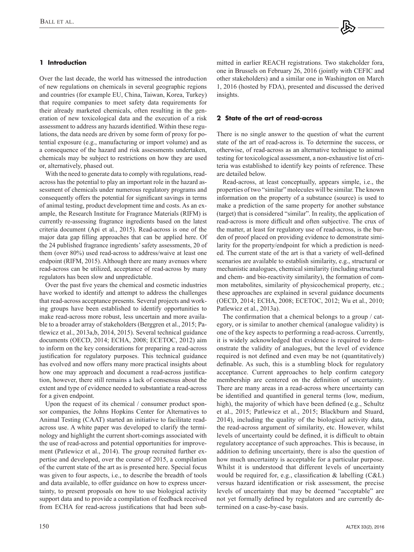# **1 Introduction**

Over the last decade, the world has witnessed the introduction of new regulations on chemicals in several geographic regions and countries (for example EU, China, Taiwan, Korea, Turkey) that require companies to meet safety data requirements for their already marketed chemicals, often resulting in the generation of new toxicological data and the execution of a risk assessment to address any hazards identified. Within these regulations, the data needs are driven by some form of proxy for potential exposure (e.g., manufacturing or import volume) and as a consequence of the hazard and risk assessments undertaken, chemicals may be subject to restrictions on how they are used or, alternatively, phased out.

With the need to generate data to comply with regulations, readacross has the potential to play an important role in the hazard assessment of chemicals under numerous regulatory programs and consequently offers the potential for significant savings in terms of animal testing, product development time and costs. As an example, the Research Institute for Fragrance Materials (RIFM) is currently re-assessing fragrance ingredients based on the latest criteria document (Api et al., 2015). Read-across is one of the major data gap filling approaches that can be applied here. Of the 24 published fragrance ingredients' safety assessments, 20 of them (over 80%) used read-across to address/waive at least one endpoint (RIFM, 2015). Although there are many avenues where read-across can be utilized, acceptance of read-across by many regulators has been slow and unpredictable.

Over the past five years the chemical and cosmetic industries have worked to identify and attempt to address the challenges that read-across acceptance presents. Several projects and working groups have been established to identify opportunities to make read-across more robust, less uncertain and more available to a broader array of stakeholders (Berggren et al., 2015; Patlewicz et al., 2013a,b, 2014, 2015). Several technical guidance documents (OECD, 2014; ECHA, 2008; ECETOC, 2012) aim to inform on the key considerations for preparing a read-across justification for regulatory purposes. This technical guidance has evolved and now offers many more practical insights about how one may approach and document a read-across justification, however, there still remains a lack of consensus about the extent and type of evidence needed to substantiate a read-across for a given endpoint.

Upon the request of its chemical / consumer product sponsor companies, the Johns Hopkins Center for Alternatives to Animal Testing (CAAT) started an initiative to facilitate readacross use. A white paper was developed to clarify the terminology and highlight the current short-comings associated with the use of read-across and potential opportunities for improvement (Patlewicz et al., 2014). The group recruited further expertise and developed, over the course of 2015, a compilation of the current state of the art as is presented here. Special focus was given to four aspects, i.e., to describe the breadth of tools and data available, to offer guidance on how to express uncertainty, to present proposals on how to use biological activity support data and to provide a compilation of feedback received from ECHA for read-across justifications that had been submitted in earlier REACH registrations. Two stakeholder fora, one in Brussels on February 26, 2016 (jointly with CEFIC and other stakeholders) and a similar one in Washington on March 1, 2016 (hosted by FDA), presented and discussed the derived insights.

## **2 State of the art of read-across**

There is no single answer to the question of what the current state of the art of read-across is. To determine the success, or otherwise, of read-across as an alternative technique to animal testing for toxicological assessment, a non-exhaustive list of criteria was established to identify key points of reference. These are detailed below.

Read-across, at least conceptually, appears simple, i.e., the properties of two "similar" molecules will be similar. The known information on the property of a substance (source) is used to make a prediction of the same property for another substance (target) that is considered "similar". In reality, the application of read-across is more difficult and often subjective. The crux of the matter, at least for regulatory use of read-across, is the burden of proof placed on providing evidence to demonstrate similarity for the property/endpoint for which a prediction is needed. The current state of the art is that a variety of well-defined scenarios are available to establish similarity, e.g., structural or mechanistic analogues, chemical similarity (including structural and chem- and bio-reactivity similarity), the formation of common metabolites, similarity of physicochemical property, etc.; these approaches are explained in several guidance documents (OECD, 2014; ECHA, 2008; ECETOC, 2012; Wu et al., 2010; Patlewicz et al., 2013a).

The confirmation that a chemical belongs to a group / category, or is similar to another chemical (analogue validity) is one of the key aspects to performing a read-across. Currently, it is widely acknowledged that evidence is required to demonstrate the validity of analogues, but the level of evidence required is not defined and even may be not (quantitatively) definable. As such, this is a stumbling block for regulatory acceptance. Current approaches to help confirm category membership are centered on the definition of uncertainty. There are many areas in a read-across where uncertainty can be identified and quantified in general terms (low, medium, high), the majority of which have been defined (e.g., Schultz et al., 2015; Patlewicz et al., 2015; Blackburn and Stuard, 2014), including the quality of the biological activity data, the read-across argument of similarity, etc. However, whilst levels of uncertainty could be defined, it is difficult to obtain regulatory acceptance of such approaches. This is because, in addition to defining uncertainty, there is also the question of how much uncertainty is acceptable for a particular purpose. Whilst it is understood that different levels of uncertainty would be required for, e.g., classification & labelling (C&L) versus hazard identification or risk assessment, the precise levels of uncertainty that may be deemed "acceptable" are not yet formally defined by regulators and are currently determined on a case-by-case basis.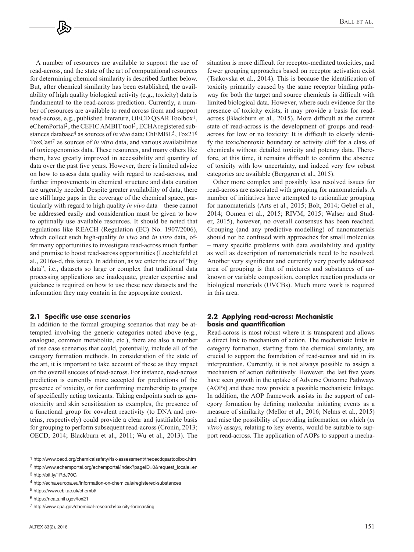A number of resources are available to support the use of read-across, and the state of the art of computational resources for determining chemical similarity is described further below. But, after chemical similarity has been established, the availability of high quality biological activity (e.g., toxicity) data is fundamental to the read-across prediction. Currently, a number of resources are available to read across from and support read-across, e.g., published literature, OECD QSAR Toolbox1, eChemPortal<sup>2</sup>, the CEFIC AMBIT tool<sup>3</sup>, ECHA registered substances database4 as sources of *in vivo* data; ChEMBL5, Tox216 ToxCast7 as sources of *in vitro* data, and various availabilities of toxicogenomics data. These resources, and many others like them, have greatly improved in accessibility and quantity of data over the past five years. However, there is limited advice on how to assess data quality with regard to read-across, and further improvements in chemical structure and data curation are urgently needed. Despite greater availability of data, there are still large gaps in the coverage of the chemical space, particularly with regard to high quality *in vivo* data – these cannot be addressed easily and consideration must be given to how to optimally use available resources. It should be noted that regulations like REACH (Regulation (EC) No. 1907/2006), which collect such high-quality *in vivo* and *in vitro* data, offer many opportunities to investigate read-across much further and promise to boost read-across opportunities (Luechtefeld et al., 2016a-d, this issue). In addition, as we enter the era of "big data", i.e., datasets so large or complex that traditional data processing applications are inadequate, greater expertise and guidance is required on how to use these new datasets and the information they may contain in the appropriate context.

#### **2.1 Specific use case scenarios**

In addition to the formal grouping scenarios that may be attempted involving the generic categories noted above (e.g., analogue, common metabolite, etc.), there are also a number of use case scenarios that could, potentially, include all of the category formation methods. In consideration of the state of the art, it is important to take account of these as they impact on the overall success of read-across. For instance, read-across prediction is currently more accepted for predictions of the presence of toxicity, or for confirming membership to groups of specifically acting toxicants. Taking endpoints such as genotoxicity and skin sensitization as examples, the presence of a functional group for covalent reactivity (to DNA and proteins, respectively) could provide a clear and justifiable basis for grouping to perform subsequent read-across (Cronin, 2013; OECD, 2014; Blackburn et al., 2011; Wu et al., 2013). The situation is more difficult for receptor-mediated toxicities, and fewer grouping approaches based on receptor activation exist (Tsakovska et al., 2014). This is because the identification of toxicity primarily caused by the same receptor binding pathway for both the target and source chemicals is difficult with limited biological data. However, where such evidence for the presence of toxicity exists, it may provide a basis for readacross (Blackburn et al., 2015). More difficult at the current state of read-across is the development of groups and readacross for low or no toxicity: It is difficult to clearly identify the toxic/nontoxic boundary or activity cliff for a class of chemicals without detailed toxicity and potency data. Therefore, at this time, it remains difficult to confirm the absence of toxicity with low uncertainty, and indeed very few robust categories are available (Berggren et al., 2015).

Other more complex and possibly less resolved issues for read-across are associated with grouping for nanomaterials. A number of initiatives have attempted to rationalize grouping for nanomaterials (Arts et al., 2015; Bolt, 2014; Gebel et al., 2014; Oomen et al., 2015; RIVM, 2015; Walser and Studer, 2015), however, no overall consensus has been reached. Grouping (and any predictive modelling) of nanomaterials should not be confused with approaches for small molecules – many specific problems with data availability and quality as well as description of nanomaterials need to be resolved. Another very significant and currently very poorly addressed area of grouping is that of mixtures and substances of unknown or variable composition, complex reaction products or biological materials (UVCBs). Much more work is required in this area.

## **2.2 Applying read-across: Mechanistic basis and quantification**

Read-across is most robust where it is transparent and allows a direct link to mechanism of action. The mechanistic links in category formation, starting from the chemical similarity, are crucial to support the foundation of read-across and aid in its interpretation. Currently, it is not always possible to assign a mechanism of action definitively. However, the last five years have seen growth in the uptake of Adverse Outcome Pathways (AOPs) and these now provide a possible mechanistic linkage. In addition, the AOP framework assists in the support of category formation by defining molecular initiating events as a measure of similarity (Mellor et al., 2016; Nelms et al., 2015) and raise the possibility of providing information on which (*in vitro*) assays, relating to key events, would be suitable to support read-across. The application of AOPs to support a mecha-

<sup>1</sup><http://www.oecd.org/chemicalsafety/risk-assessment/theoecdqsartoolbox.htm>

<sup>2</sup> [http://www.echemportal.org/echemportal/index?pageID=0&request\\_locale=en](http://www.echemportal.org/echemportal/index?pageID=0&request_locale=en)

<sup>3</sup><http://bit.ly/1RdJ70G>

<sup>4</sup><http://echa.europa.eu/information-on-chemicals/registered-substances>

<sup>5</sup><https://www.ebi.ac.uk/chembl/>

<sup>6</sup><https://ncats.nih.gov/tox21>

<sup>7</sup><http://www.epa.gov/chemical-research/toxicity-forecasting>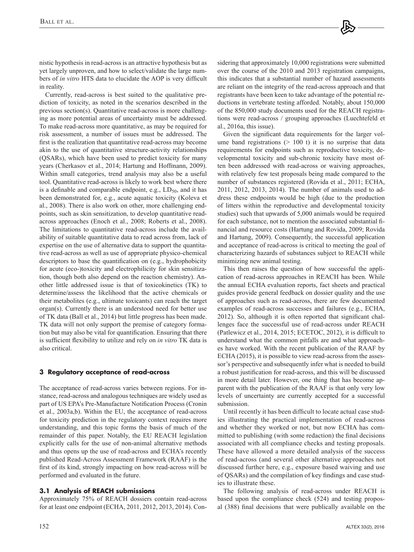nistic hypothesis in read-across is an attractive hypothesis but as yet largely unproven, and how to select/validate the large numbers of *in vitro* HTS data to elucidate the AOP is very difficult in reality.

Currently, read-across is best suited to the qualitative prediction of toxicity, as noted in the scenarios described in the previous section(s). Quantitative read-across is more challenging as more potential areas of uncertainty must be addressed. To make read-across more quantitative, as may be required for risk assessment, a number of issues must be addressed. The first is the realization that quantitative read-across may become akin to the use of quantitative structure-activity relationships (QSARs), which have been used to predict toxicity for many years (Cherkasov et al., 2014; Hartung and Hoffmann, 2009). Within small categories, trend analysis may also be a useful tool. Quantitative read-across is likely to work best where there is a definable and comparable endpoint, e.g.,  $LD_{50}$ , and it has been demonstrated for, e.g., acute aquatic toxicity (Koleva et al., 2008). There is also work on other, more challenging endpoints, such as skin sensitization, to develop quantitative readacross approaches (Enoch et al., 2008; Roberts et al., 2008). The limitations to quantitative read-across include the availability of suitable quantitative data to read across from, lack of expertise on the use of alternative data to support the quantitative read-across as well as use of appropriate physico-chemical descriptors to base the quantification on (e.g., hydrophobicity for acute (eco-)toxicity and electrophilicity for skin sensitization, though both also depend on the reaction chemistry). Another little addressed issue is that of toxicokinetics (TK) to determine/assess the likelihood that the active chemicals or their metabolites (e.g., ultimate toxicants) can reach the target organ(s). Currently there is an understood need for better use of TK data (Ball et al., 2014) but little progress has been made. TK data will not only support the premise of category formation but may also be vital for quantification. Ensuring that there is sufficient flexibility to utilize and rely on *in vitro* TK data is also critical.

# **3 Regulatory acceptance of read-across**

The acceptance of read-across varies between regions. For instance, read-across and analogous techniques are widely used as part of US EPA's Pre-Manufacture Notification Process (Cronin et al., 2003a,b). Within the EU, the acceptance of read-across for toxicity prediction in the regulatory context requires more understanding, and this topic forms the basis of much of the remainder of this paper. Notably, the EU REACH legislation explicitly calls for the use of non-animal alternative methods and thus opens up the use of read-across and ECHA's recently published Read-Across Assessment Framework (RAAF) is the first of its kind, strongly impacting on how read-across will be performed and evaluated in the future.

# **3.1 Analysis of REACH submissions**

Approximately 75% of REACH dossiers contain read-across for at least one endpoint (ECHA, 2011, 2012, 2013, 2014). Considering that approximately 10,000 registrations were submitted over the course of the 2010 and 2013 registration campaigns, this indicates that a substantial number of hazard assessments are reliant on the integrity of the read-across approach and that registrants have been keen to take advantage of the potential reductions in vertebrate testing afforded. Notably, about 150,000 of the 850,000 study documents used for the REACH registrations were read-across / grouping approaches (Luechtefeld et al., 2016a, this issue).

Given the significant data requirements for the larger volume band registrations  $(> 100)$  t) it is no surprise that data requirements for endpoints such as reproductive toxicity, developmental toxicity and sub-chronic toxicity have most often been addressed with read-across or waiving approaches, with relatively few test proposals being made compared to the number of substances registered (Rovida et al., 2011; ECHA, 2011, 2012, 2013, 2014). The number of animals used to address these endpoints would be high (due to the production of litters within the reproductive and developmental toxicity studies) such that upwards of 5,000 animals would be required for each substance, not to mention the associated substantial financial and resource costs (Hartung and Rovida, 2009; Rovida and Hartung, 2009). Consequently, the successful application and acceptance of read-across is critical to meeting the goal of characterizing hazards of substances subject to REACH while minimizing new animal testing.

This then raises the question of how successful the application of read-across approaches in REACH has been. While the annual ECHA evaluation reports, fact sheets and practical guides provide general feedback on dossier quality and the use of approaches such as read-across, there are few documented examples of read-across successes and failures (e.g., ECHA, 2012). So, although it is often reported that significant challenges face the successful use of read-across under REACH (Patlewicz et al., 2014, 2015; ECETOC, 2012), it is difficult to understand what the common pitfalls are and what approaches have worked. With the recent publication of the RAAF by ECHA (2015), it is possible to view read-across from the assessor's perspective and subsequently infer what is needed to build a robust justification for read-across, and this will be discussed in more detail later. However, one thing that has become apparent with the publication of the RAAF is that only very low levels of uncertainty are currently accepted for a successful submission.

Until recently it has been difficult to locate actual case studies illustrating the practical implementation of read-across and whether they worked or not, but now ECHA has committed to publishing (with some redaction) the final decisions associated with all compliance checks and testing proposals. These have allowed a more detailed analysis of the success of read-across (and several other alternative approaches not discussed further here, e.g., exposure based waiving and use of QSARs) and the compilation of key findings and case studies to illustrate these.

The following analysis of read-across under REACH is based upon the compliance check (524) and testing proposal (388) final decisions that were publically available on the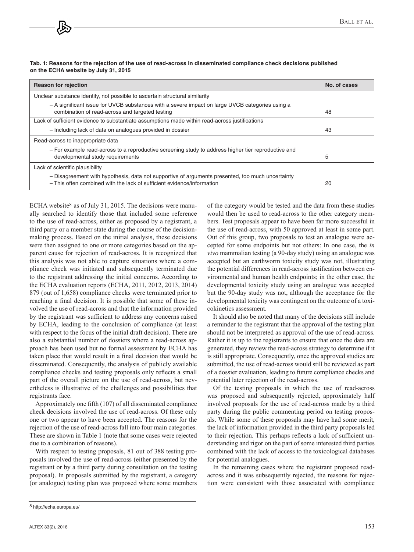| Tab. 1: Reasons for the rejection of the use of read-across in disseminated compliance check decisions published |  |
|------------------------------------------------------------------------------------------------------------------|--|
| on the ECHA website by July 31, 2015                                                                             |  |

| <b>Reason for rejection</b>                                                                                                                                                | No. of cases |
|----------------------------------------------------------------------------------------------------------------------------------------------------------------------------|--------------|
| Unclear substance identity, not possible to ascertain structural similarity                                                                                                |              |
| - A significant issue for UVCB substances with a severe impact on large UVCB categories using a<br>combination of read-across and targeted testing                         | 48           |
| Lack of sufficient evidence to substantiate assumptions made within read-across justifications                                                                             |              |
| - Including lack of data on analogues provided in dossier                                                                                                                  | 43           |
| Read-across to inappropriate data                                                                                                                                          |              |
| - For example read-across to a reproductive screening study to address higher tier reproductive and<br>developmental study requirements                                    | 5            |
| Lack of scientific plausibility                                                                                                                                            |              |
| - Disagreement with hypothesis, data not supportive of arguments presented, too much uncertainty<br>- This often combined with the lack of sufficient evidence/information | 20           |

ECHA website<sup>8</sup> as of July 31, 2015. The decisions were manually searched to identify those that included some reference to the use of read-across, either as proposed by a registrant, a third party or a member state during the course of the decisionmaking process. Based on the initial analysis, these decisions were then assigned to one or more categories based on the apparent cause for rejection of read-across. It is recognized that this analysis was not able to capture situations where a compliance check was initiated and subsequently terminated due to the registrant addressing the initial concerns. According to the ECHA evaluation reports (ECHA, 2011, 2012, 2013, 2014) 879 (out of 1,658) compliance checks were terminated prior to reaching a final decision. It is possible that some of these involved the use of read-across and that the information provided by the registrant was sufficient to address any concerns raised by ECHA, leading to the conclusion of compliance (at least with respect to the focus of the initial draft decision). There are also a substantial number of dossiers where a read-across approach has been used but no formal assessment by ECHA has taken place that would result in a final decision that would be disseminated. Consequently, the analysis of publicly available compliance checks and testing proposals only reflects a small part of the overall picture on the use of read-across, but nevertheless is illustrative of the challenges and possibilities that registrants face.

Approximately one fifth (107) of all disseminated compliance check decisions involved the use of read-across. Of these only one or two appear to have been accepted. The reasons for the rejection of the use of read-across fall into four main categories. These are shown in Table 1 (note that some cases were rejected due to a combination of reasons).

With respect to testing proposals, 81 out of 388 testing proposals involved the use of read-across (either presented by the registrant or by a third party during consultation on the testing proposal). In proposals submitted by the registrant, a category (or analogue) testing plan was proposed where some members

of the category would be tested and the data from these studies would then be used to read-across to the other category members. Test proposals appear to have been far more successful in the use of read-across, with 50 approved at least in some part. Out of this group, two proposals to test an analogue were accepted for some endpoints but not others: In one case, the *in vivo* mammalian testing (a 90-day study) using an analogue was accepted but an earthworm toxicity study was not, illustrating the potential differences in read-across justification between environmental and human health endpoints; in the other case, the developmental toxicity study using an analogue was accepted but the 90-day study was not, although the acceptance for the developmental toxicity was contingent on the outcome of a toxicokinetics assessment.

It should also be noted that many of the decisions still include a reminder to the registrant that the approval of the testing plan should not be interpreted as approval of the use of read-across. Rather it is up to the registrants to ensure that once the data are generated, they review the read-across strategy to determine if it is still appropriate. Consequently, once the approved studies are submitted, the use of read-across would still be reviewed as part of a dossier evaluation, leading to future compliance checks and potential later rejection of the read-across.

Of the testing proposals in which the use of read-across was proposed and subsequently rejected, approximately half involved proposals for the use of read-across made by a third party during the public commenting period on testing proposals. While some of these proposals may have had some merit, the lack of information provided in the third party proposals led to their rejection. This perhaps reflects a lack of sufficient understanding and rigor on the part of some interested third parties combined with the lack of access to the toxicological databases for potential analogues.

In the remaining cases where the registrant proposed readacross and it was subsequently rejected, the reasons for rejection were consistent with those associated with compliance

<sup>8</sup> <http://echa.europa.eu/>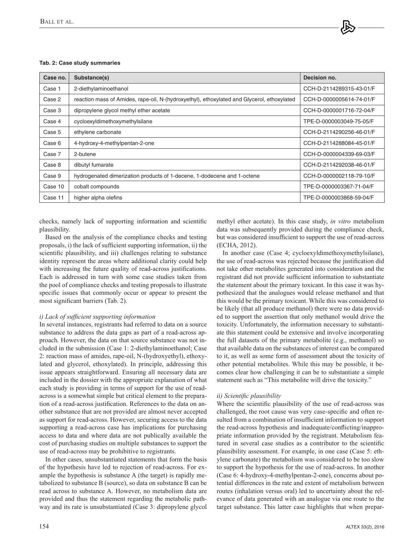#### **Tab. 2: Case study summaries**

| Case no. | Substance(s)                                                                               | Decision no.             |
|----------|--------------------------------------------------------------------------------------------|--------------------------|
| Case 1   | 2-diethylaminoethanol                                                                      | CCH-D-2114289315-43-01/F |
| Case 2   | reaction mass of Amides, rape-oil, N-(hydroxyethyl), ethoxylated and Glycerol, ethoxylated | CCH-D-0000005614-74-01/F |
| Case 3   | dipropylene glycol methyl ether acetate                                                    | CCH-D-0000001716-72-04/F |
| Case 4   | cycloexyldimethoxymethylsilane                                                             | TPE-D-0000003049-75-05/F |
| Case 5   | ethylene carbonate                                                                         | CCH-D-2114290256-46-01/F |
| Case 6   | 4-hydroxy-4-methylpentan-2-one                                                             | CCH-D-2114288084-45-01/F |
| Case 7   | 2-butene                                                                                   | CCH-D-0000004339-69-03/F |
| Case 8   | dibutyl fumarate                                                                           | CCH-D-2114292038-46-01/F |
| Case 9   | hydrogenated dimerization products of 1-decene, 1-dodecene and 1-octene                    | CCH-D-0000002118-79-10/F |
| Case 10  | cobalt compounds                                                                           | TPE-D-0000003367-71-04/F |
| Case 11  | higher alpha olefins                                                                       | TPE-D-0000003868-59-04/F |

checks, namely lack of supporting information and scientific plausibility.

Based on the analysis of the compliance checks and testing proposals, i) the lack of sufficient supporting information, ii) the scientific plausibility, and iii) challenges relating to substance identity represent the areas where additional clarity could help with increasing the future quality of read-across justifications. Each is addressed in turn with some case studies taken from the pool of compliance checks and testing proposals to illustrate specific issues that commonly occur or appear to present the most significant barriers (Tab. 2).

#### *i) Lack of sufficient supporting information*

In several instances, registrants had referred to data on a source substance to address the data gaps as part of a read-across approach. However, the data on that source substance was not included in the submission (Case 1: 2-diethylaminoethanol; Case 2: reaction mass of amides, rape-oil, N-(hydroxyethyl), ethoxylated and glycerol, ethoxylated). In principle, addressing this issue appears straightforward. Ensuring all necessary data are included in the dossier with the appropriate explanation of what each study is providing in terms of support for the use of readacross is a somewhat simple but critical element to the preparation of a read-across justification. References to the data on another substance that are not provided are almost never accepted as support for read-across. However, securing access to the data supporting a read-across case has implications for purchasing access to data and where data are not publically available the cost of purchasing studies on multiple substances to support the use of read-across may be prohibitive to registrants.

In other cases, unsubstantiated statements that form the basis of the hypothesis have led to rejection of read-across. For example the hypothesis is substance A (the target) is rapidly metabolized to substance B (source), so data on substance B can be read across to substance A. However, no metabolism data are provided and thus the statement regarding the metabolic pathway and its rate is unsubstantiated (Case 3: dipropylene glycol

methyl ether acetate). In this case study, *in vitro* metabolism data was subsequently provided during the compliance check, but was considered insufficient to support the use of read-across (ECHA, 2012).

In another case (Case 4; cycloexyldimethoxymethylsilane), the use of read-across was rejected because the justification did not take other metabolites generated into consideration and the registrant did not provide sufficient information to substantiate the statement about the primary toxicant. In this case it was hypothesized that the analogues would release methanol and that this would be the primary toxicant. While this was considered to be likely (that all produce methanol) there were no data provided to support the assertion that only methanol would drive the toxicity. Unfortunately, the information necessary to substantiate this statement could be extensive and involve incorporating the full datasets of the primary metabolite (e.g., methanol) so that available data on the substances of interest can be compared to it, as well as some form of assessment about the toxicity of other potential metabolites. While this may be possible, it becomes clear how challenging it can be to substantiate a simple statement such as "This metabolite will drive the toxicity."

#### *ii) Scientific plausibility*

Where the scientific plausibility of the use of read-across was challenged, the root cause was very case-specific and often resulted from a combination of insufficient information to support the read-across hypothesis and inadequate/conflicting/inappropriate information provided by the registrant. Metabolism featured in several case studies as a contributor to the scientific plausibility assessment. For example, in one case (Case 5: ethylene carbonate) the metabolism was considered to be too slow to support the hypothesis for the use of read-across. In another (Case 6: 4-hydroxy-4-methylpentan-2-one), concerns about potential differences in the rate and extent of metabolism between routes (inhalation versus oral) led to uncertainty about the relevance of data generated with an analogue via one route to the target substance. This latter case highlights that when prepar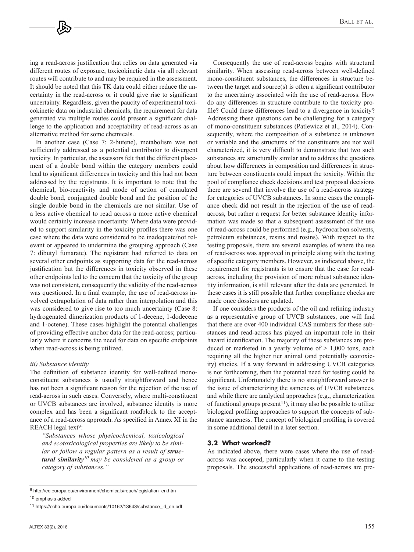ing a read-across justification that relies on data generated via different routes of exposure, toxicokinetic data via all relevant routes will contribute to and may be required in the assessment. It should be noted that this TK data could either reduce the uncertainty in the read-across or it could give rise to significant uncertainty. Regardless, given the paucity of experimental toxicokinetic data on industrial chemicals, the requirement for data generated via multiple routes could present a significant challenge to the application and acceptability of read-across as an alternative method for some chemicals.

In another case (Case 7: 2-butene), metabolism was not sufficiently addressed as a potential contributor to divergent toxicity. In particular, the assessors felt that the different placement of a double bond within the category members could lead to significant differences in toxicity and this had not been addressed by the registrants. It is important to note that the chemical, bio-reactivity and mode of action of cumulated double bond, conjugated double bond and the position of the single double bond in the chemicals are not similar. Use of a less active chemical to read across a more active chemical would certainly increase uncertainty. Where data were provided to support similarity in the toxicity profiles there was one case where the data were considered to be inadequate/not relevant or appeared to undermine the grouping approach (Case 7: dibutyl fumarate). The registrant had referred to data on several other endpoints as supporting data for the read-across justification but the differences in toxicity observed in these other endpoints led to the concern that the toxicity of the group was not consistent, consequently the validity of the read-across was questioned. In a final example, the use of read-across involved extrapolation of data rather than interpolation and this was considered to give rise to too much uncertainty (Case 8: hydrogenated dimerization products of 1-decene, 1-dodecene and 1-octene). These cases highlight the potential challenges of providing effective anchor data for the read-across; particularly where it concerns the need for data on specific endpoints when read-across is being utilized.

#### *iii) Substance identity*

The definition of substance identity for well-defined monoconstituent substances is usually straightforward and hence has not been a significant reason for the rejection of the use of read-across in such cases. Conversely, where multi-constituent or UVCB substances are involved, substance identity is more complex and has been a significant roadblock to the acceptance of a read-across approach. As specified in Annex XI in the REACH legal text9:

*"Substances whose physicochemical, toxicological and ecotoxicological properties are likely to be simi*lar or follow a regular pattern as a result of **struc***tural similarity10 may be considered as a group or category of substances."*

Consequently the use of read-across begins with structural similarity. When assessing read-across between well-defined mono-constituent substances, the differences in structure between the target and source(s) is often a significant contributor to the uncertainty associated with the use of read-across. How do any differences in structure contribute to the toxicity profile? Could these differences lead to a divergence in toxicity? Addressing these questions can be challenging for a category of mono-constituent substances (Patlewicz et al., 2014). Consequently, where the composition of a substance is unknown or variable and the structures of the constituents are not well characterized, it is very difficult to demonstrate that two such substances are structurally similar and to address the questions about how differences in composition and differences in structure between constituents could impact the toxicity. Within the pool of compliance check decisions and test proposal decisions there are several that involve the use of a read-across strategy for categories of UVCB substances. In some cases the compliance check did not result in the rejection of the use of readacross, but rather a request for better substance identity information was made so that a subsequent assessment of the use of read-across could be performed (e.g., hydrocarbon solvents, petroleum substances, resins and rosins). With respect to the testing proposals, there are several examples of where the use of read-across was approved in principle along with the testing of specific category members. However, as indicated above, the requirement for registrants is to ensure that the case for readacross, including the provision of more robust substance identity information, is still relevant after the data are generated. In these cases it is still possible that further compliance checks are made once dossiers are updated.

If one considers the products of the oil and refining industry as a representative group of UVCB substances, one will find that there are over 400 individual CAS numbers for these substances and read-across has played an important role in their hazard identification. The majority of these substances are produced or marketed in a yearly volume of  $> 1,000$  tons, each requiring all the higher tier animal (and potentially ecotoxicity) studies. If a way forward in addressing UVCB categories is not forthcoming, then the potential need for testing could be significant. Unfortunately there is no straightforward answer to the issue of characterizing the sameness of UVCB substances, and while there are analytical approaches (e.g., characterization of functional groups present<sup>11</sup>), it may also be possible to utilize biological profiling approaches to support the concepts of substance sameness. The concept of biological profiling is covered in some additional detail in a later section.

#### **3.2 What worked?**

As indicated above, there were cases where the use of readacross was accepted, particularly when it came to the testing proposals. The successful applications of read-across are pre-

<sup>9</sup> [http://ec.europa.eu/environment/chemicals/reach/legislation\\_en.htm](http://ec.europa.eu/environment/chemicals/reach/legislation_en.htm) 10 emphasis added

<sup>11</sup> [https://echa.europa.eu/documents/10162/13643/substance\\_id\\_en.pdf](http://ec.europa.eu/environment/chemicals/reach/legislation_en.htm)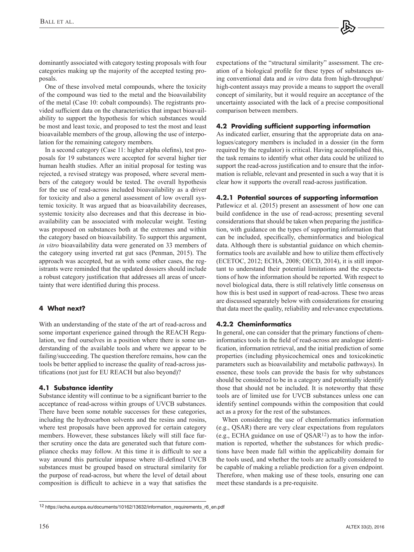dominantly associated with category testing proposals with four categories making up the majority of the accepted testing proposals.

One of these involved metal compounds, where the toxicity of the compound was tied to the metal and the bioavailability of the metal (Case 10: cobalt compounds). The registrants provided sufficient data on the characteristics that impact bioavailability to support the hypothesis for which substances would be most and least toxic, and proposed to test the most and least bioavailable members of the group, allowing the use of interpolation for the remaining category members.

In a second category (Case 11: higher alpha olefins), test proposals for 19 substances were accepted for several higher tier human health studies. After an initial proposal for testing was rejected, a revised strategy was proposed, where several members of the category would be tested. The overall hypothesis for the use of read-across included bioavailability as a driver for toxicity and also a general assessment of low overall systemic toxicity. It was argued that as bioavailability decreases, systemic toxicity also decreases and that this decrease in bioavailability can be associated with molecular weight. Testing was proposed on substances both at the extremes and within the category based on bioavailability. To support this argument, *in vitro* bioavailability data were generated on 33 members of the category using inverted rat gut sacs (Penman, 2015). The approach was accepted, but as with some other cases, the registrants were reminded that the updated dossiers should include a robust category justification that addresses all areas of uncertainty that were identified during this process.

# **4 What next?**

With an understanding of the state of the art of read-across and some important experience gained through the REACH Regulation, we find ourselves in a position where there is some understanding of the available tools and where we appear to be failing/succeeding. The question therefore remains, how can the tools be better applied to increase the quality of read-across justifications (not just for EU REACH but also beyond)?

## **4.1 Substance identity**

Substance identity will continue to be a significant barrier to the acceptance of read-across within groups of UVCB substances. There have been some notable successes for these categories, including the hydrocarbon solvents and the resins and rosins, where test proposals have been approved for certain category members. However, these substances likely will still face further scrutiny once the data are generated such that future compliance checks may follow. At this time it is difficult to see a way around this particular impasse where ill-defined UVCB substances must be grouped based on structural similarity for the purpose of read-across, but where the level of detail about composition is difficult to achieve in a way that satisfies the expectations of the "structural similarity" assessment. The creation of a biological profile for these types of substances using conventional data and *in vitro* data from high-throughput/ high-content assays may provide a means to support the overall concept of similarity, but it would require an acceptance of the uncertainty associated with the lack of a precise compositional comparison between members.

#### **4.2 Providing sufficient supporting information**

As indicated earlier, ensuring that the appropriate data on analogues/category members is included in a dossier (in the form required by the regulator) is critical. Having accomplished this, the task remains to identify what other data could be utilized to support the read-across justification and to ensure that the information is reliable, relevant and presented in such a way that it is clear how it supports the overall read-across justification.

## **4.2.1 Potential sources of supporting information**

Patlewicz et al. (2015) present an assessment of how one can build confidence in the use of read-across; presenting several considerations that should be taken when preparing the justification, with guidance on the types of supporting information that can be included, specifically, cheminformatics and biological data. Although there is substantial guidance on which cheminformatics tools are available and how to utilize them effectively (ECETOC, 2012; ECHA, 2008; OECD, 2014), it is still important to understand their potential limitations and the expectations of how the information should be reported. With respect to novel biological data, there is still relatively little consensus on how this is best used in support of read-across. These two areas are discussed separately below with considerations for ensuring that data meet the quality, reliability and relevance expectations.

## **4.2.2 Cheminformatics**

In general, one can consider that the primary functions of cheminformatics tools in the field of read-across are analogue identification, information retrieval, and the initial prediction of some properties (including physicochemical ones and toxicokinetic parameters such as bioavailability and metabolic pathways). In essence, these tools can provide the basis for why substances should be considered to be in a category and potentially identify those that should not be included. It is noteworthy that these tools are of limited use for UVCB substances unless one can identify sentinel compounds within the composition that could act as a proxy for the rest of the substances.

When considering the use of cheminformatics information (e.g., QSAR) there are very clear expectations from regulators (e.g., ECHA guidance on use of QSAR12) as to how the information is reported, whether the substances for which predictions have been made fall within the applicability domain for the tools used, and whether the tools are actually considered to be capable of making a reliable prediction for a given endpoint. Therefore, when making use of these tools, ensuring one can meet these standards is a pre-requisite.

[<sup>12</sup> https://echa.europa.eu/documents/10162/13632/information\\_requirements\\_r6\\_en.pdf](https://echa.europa.eu/documents/10162/13632/information_requirements_r6_en.pdf)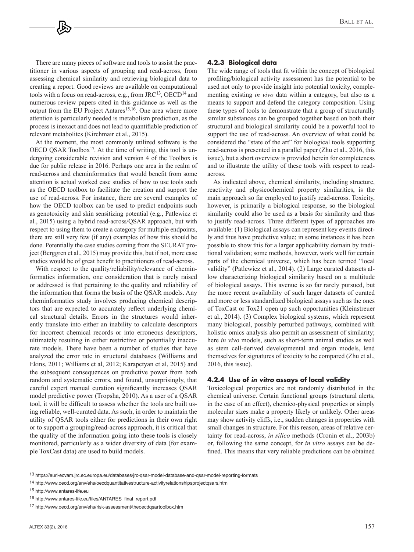There are many pieces of software and tools to assist the practitioner in various aspects of grouping and read-across, from assessing chemical similarity and retrieving biological data to creating a report. Good reviews are available on computational tools with a focus on read-across, e.g., from JRC13, OECD14 and numerous review papers cited in this guidance as well as the output from the EU Project Antares<sup>15,16</sup>. One area where more attention is particularly needed is metabolism prediction, as the process is inexact and does not lead to quantifiable prediction of relevant metabolites (Kirchmair et al., 2015).

At the moment, the most commonly utilized software is the OECD QSAR Toolbox<sup>17</sup>. At the time of writing, this tool is undergoing considerable revision and version 4 of the Toolbox is due for public release in 2016. Perhaps one area in the realm of read-across and cheminformatics that would benefit from some attention is actual worked case studies of how to use tools such as the OECD toolbox to facilitate the creation and support the use of read-across. For instance, there are several examples of how the OECD toolbox can be used to predict endpoints such as genotoxicity and skin sensitizing potential (e.g., Patlewicz et al., 2015) using a hybrid read-across/QSAR approach, but with respect to using them to create a category for multiple endpoints, there are still very few (if any) examples of how this should be done. Potentially the case studies coming from the SEURAT project (Berggren et al., 2015) may provide this, but if not, more case studies would be of great benefit to practitioners of read-across.

With respect to the quality/reliability/relevance of cheminformatics information, one consideration that is rarely raised or addressed is that pertaining to the quality and reliability of the information that forms the basis of the QSAR models. Any cheminformatics study involves producing chemical descriptors that are expected to accurately reflect underlying chemical structural details. Errors in the structures would inherently translate into either an inability to calculate descriptors for incorrect chemical records or into erroneous descriptors, ultimately resulting in either restrictive or potentially inaccurate models. There have been a number of studies that have analyzed the error rate in structural databases (Williams and Ekins, 2011; Williams et al, 2012; Karapetyan et al, 2015) and the subsequent consequences on predictive power from both random and systematic errors, and found, unsurprisingly, that careful expert manual curation significantly increases QSAR model predictive power (Tropsha, 2010). As a user of a QSAR tool, it will be difficult to assess whether the tools are built using reliable, well-curated data. As such, in order to maintain the utility of QSAR tools either for predictions in their own right or to support a grouping/read-across approach, it is critical that the quality of the information going into these tools is closely monitored, particularly as a wider diversity of data (for example ToxCast data) are used to build models.

#### **4.2.3 Biological data**

The wide range of tools that fit within the concept of biological profiling/biological activity assessment has the potential to be used not only to provide insight into potential toxicity, complementing existing *in vivo* data within a category, but also as a means to support and defend the category composition. Using these types of tools to demonstrate that a group of structurally similar substances can be grouped together based on both their structural and biological similarity could be a powerful tool to support the use of read-across. An overview of what could be considered the "state of the art" for biological tools supporting read-across is presented in a parallel paper (Zhu et al., 2016, this issue), but a short overview is provided herein for completeness and to illustrate the utility of these tools with respect to readacross.

As indicated above, chemical similarity, including structure, reactivity and physicochemical property similarities, is the main approach so far employed to justify read-across. Toxicity, however, is primarily a biological response, so the biological similarity could also be used as a basis for similarity and thus to justify read-across. Three different types of approaches are available: (1) Biological assays can represent key events directly and thus have predictive value; in some instances it has been possible to show this for a larger applicability domain by traditional validation; some methods, however, work well for certain parts of the chemical universe, which has been termed "local validity" (Patlewicz et al., 2014). (2) Large curated datasets allow characterizing biological similarity based on a multitude of biological assays. This avenue is so far rarely pursued, but the more recent availability of such larger datasets of curated and more or less standardized biological assays such as the ones of ToxCast or Tox21 open up such opportunities (Kleinstreuer et al., 2014). (3) Complex biological systems, which represent many biological, possibly perturbed pathways, combined with holistic omics analysis also permit an assessment of similarity; here *in vivo* models, such as short-term animal studies as well as stem cell-derived developmental and organ models, lend themselves for signatures of toxicity to be compared (Zhu et al., 2016, this issue).

#### **4.2.4 Use of in vitro assays of local validity**

Toxicological properties are not randomly distributed in the chemical universe. Certain functional groups (structural alerts, in the case of an effect), chemico-physical properties or simply molecular sizes make a property likely or unlikely. Other areas may show activity cliffs, i.e., sudden changes in properties with small changes in structure. For this reason, areas of relative certainty for read-across, *in silico* methods (Cronin et al., 2003b) or, following the same concept, for *in vitro* assays can be defined. This means that very reliable predictions can be obtained

<sup>13</sup> <https://eurl-ecvam.jrc.ec.europa.eu/databases/jrc-qsar-model-database-and-qsar-model-reporting-formats>

<sup>14</sup> <http://www.oecd.org/env/ehs/oecdquantitativestructure-activityrelationshipsprojectqsars.htm>

<sup>15</sup> <http://www.antares-life.eu>

<sup>16</sup> [http://www.antares-life.eu/files/ANTARES\\_final\\_report.pdf](http://www.antares-life.eu/files/ANTARES_final_report.pdf)

<sup>17</sup> <http://www.oecd.org/env/ehs/risk-assessment/theoecdqsartoolbox.htm>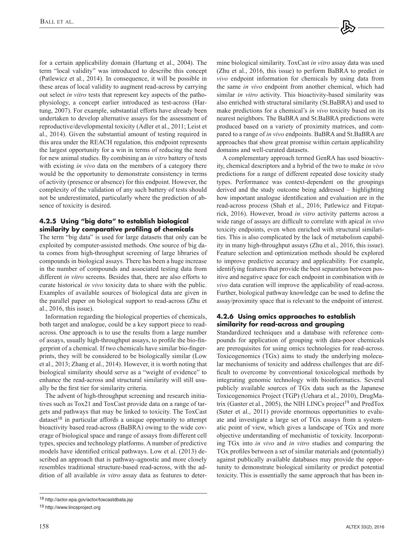for a certain applicability domain (Hartung et al., 2004). The term "local validity" was introduced to describe this concept (Patlewicz et al., 2014). In consequence, it will be possible in these areas of local validity to augment read-across by carrying out select *in vitro* tests that represent key aspects of the pathophysiology, a concept earlier introduced as test-across (Hartung, 2007). For example, substantial efforts have already been undertaken to develop alternative assays for the assessment of reproductive/developmental toxicity (Adler et al., 2011; Leist et al., 2014). Given the substantial amount of testing required in this area under the REACH regulation, this endpoint represents the largest opportunity for a win in terms of reducing the need for new animal studies. By combining an *in vitro* battery of tests with existing *in vivo* data on the members of a category there would be the opportunity to demonstrate consistency in terms of activity (presence or absence) for this endpoint. However, the complexity of the validation of any such battery of tests should not be underestimated, particularly where the prediction of absence of toxicity is desired.

# **4.2.5 Using "big data" to establish biological similarity by comparative profiling of chemicals**

The term "big data" is used for large datasets that only can be exploited by computer-assisted methods. One source of big data comes from high-throughput screening of large libraries of compounds in biological assays. There has been a huge increase in the number of compounds and associated testing data from different *in vitro* screens. Besides that, there are also efforts to curate historical *in vivo* toxicity data to share with the public. Examples of available sources of biological data are given in the parallel paper on biological support to read-across (Zhu et al., 2016, this issue).

Information regarding the biological properties of chemicals, both target and analogue, could be a key support piece to readacross. One approach is to use the results from a large number of assays, usually high-throughput assays, to profile the bio-fingerprint of a chemical. If two chemicals have similar bio-fingerprints, they will be considered to be biologically similar (Low et al., 2013; Zhang et al., 2014). However, it is worth noting that biological similarity should serve as a "weight of evidence" to enhance the read-across and structural similarity will still usually be the first tier for similarity criteria.

The advent of high-throughput screening and research initiatives such as Tox21 and ToxCast provide data on a range of targets and pathways that may be linked to toxicity. The ToxCast  $dataset<sup>18</sup>$  in particular affords a unique opportunity to attempt bioactivity based read-across (BaBRA) owing to the wide coverage of biological space and range of assays from different cell types, species and technology platforms. A number of predictive models have identified critical pathways. Low et al. (2013) described an approach that is pathway-agnostic and more closely resembles traditional structure-based read-across, with the addition of all available *in vitro* assay data as features to determine biological similarity. ToxCast *in vitro* assay data was used (Zhu et al., 2016, this issue) to perform BaBRA to predict *in vivo* endpoint information for chemicals by using data from the same *in vivo* endpoint from another chemical, which had similar *in vitro* activity. This bioactivity-based similarity was also enriched with structural similarity (St.BaBRA) and used to make predictions for a chemical's *in vivo* toxicity based on its nearest neighbors. The BaBRA and St.BaBRA predictions were produced based on a variety of proximity matrices, and compared to a range of *in vivo* endpoints. BaBRA and St.BaBRA are approaches that show great promise within certain applicability domains and well-curated datasets.

A complementary approach termed GenRA has used bioactivity, chemical descriptors and a hybrid of the two to make *in vivo* predictions for a range of different repeated dose toxicity study types. Performance was context-dependent on the groupings derived and the study outcome being addressed – highlighting how important analogue identification and evaluation are in the read-across process (Shah et al., 2016; Patlewicz and Fitzpatrick, 2016). However, broad *in vitro* activity patterns across a wide range of assays are difficult to correlate with apical *in vivo* toxicity endpoints, even when enriched with structural similarities. This is also complicated by the lack of metabolism capability in many high-throughput assays (Zhu et al., 2016, this issue). Feature selection and optimization methods should be explored to improve predictive accuracy and applicability. For example, identifying features that provide the best separation between positive and negative space for each endpoint in combination with *in vivo* data curation will improve the applicability of read-across. Further, biological pathway knowledge can be used to define the assay/proximity space that is relevant to the endpoint of interest.

# **4.2.6 Using omics approaches to establish similarity for read-across and grouping**

Standardized techniques and a database with reference compounds for application of grouping with data-poor chemicals are prerequisites for using omics technologies for read-across. Toxicogenomics (TGx) aims to study the underlying molecular mechanisms of toxicity and address challenges that are difficult to overcome by conventional toxicological methods by integrating genomic technology with bioinformatics. Several publicly available sources of TGx data such as the Japanese Toxicogenomics Project (TGP) (Uehara et al., 2010), DrugMatrix (Ganter et al., 2005), the NIH LINCs project<sup>19</sup> and PredTox (Suter et al., 2011) provide enormous opportunities to evaluate and investigate a large set of TGx assays from a systematic point of view, which gives a landscape of TGx and more objective understanding of mechanistic of toxicity. Incorporating TGx into *in vivo* and *in vitro* studies and comparing the TGx profiles between a set of similar materials and (potentially) against publically available databases may provide the opportunity to demonstrate biological similarity or predict potential toxicity. This is essentially the same approach that has been in-

<sup>18</sup> [http://actor.epa.gov/actor/toxcastdbata.jsp](http://actor.epa.gov/actor/toxcastdata.jsp)

<sup>19</sup> <http://www.lincsproject.org>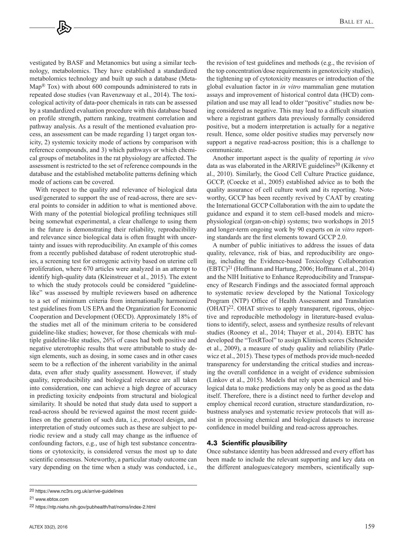vestigated by BASF and Metanomics but using a similar technology, metabolomics. They have established a standardized metabolomics technology and built up such a database (Meta- $Map^{\circledR}$  Tox) with about 600 compounds administered to rats in repeated dose studies (van Ravenzwaay et al., 2014). The toxicological activity of data-poor chemicals in rats can be assessed by a standardized evaluation procedure with this database based on profile strength, pattern ranking, treatment correlation and pathway analysis. As a result of the mentioned evaluation process, an assessment can be made regarding 1) target organ toxicity, 2) systemic toxicity mode of actions by comparison with reference compounds, and 3) which pathways or which chemical groups of metabolites in the rat physiology are affected. The assessment is restricted to the set of reference compounds in the database and the established metabolite patterns defining which mode of actions can be covered.

With respect to the quality and relevance of biological data used/generated to support the use of read-across, there are several points to consider in addition to what is mentioned above. With many of the potential biological profiling techniques still being somewhat experimental, a clear challenge to using them in the future is demonstrating their reliability, reproducibility and relevance since biological data is often fraught with uncertainty and issues with reproducibility. An example of this comes from a recently published database of rodent uterotrophic studies, a screening test for estrogenic activity based on uterine cell proliferation, where 670 articles were analyzed in an attempt to identify high-quality data (Kleinstreuer et al., 2015). The extent to which the study protocols could be considered "guidelinelike" was assessed by multiple reviewers based on adherence to a set of minimum criteria from internationally harmonized test guidelines from US EPA and the Organization for Economic Cooperation and Development (OECD). Approximately 18% of the studies met all of the minimum criteria to be considered guideline-like studies; however, for those chemicals with multiple guideline-like studies, 26% of cases had both positive and negative uterotrophic results that were attributable to study design elements, such as dosing, in some cases and in other cases seem to be a reflection of the inherent variability in the animal data, even after study quality assessment. However, if study quality, reproducibility and biological relevance are all taken into consideration, one can achieve a high degree of accuracy in predicting toxicity endpoints from structural and biological similarity. It should be noted that study data used to support a read-across should be reviewed against the most recent guidelines on the generation of such data, i.e., protocol design, and interpretation of study outcomes such as these are subject to periodic review and a study call may change as the influence of confounding factors, e.g., use of high test substance concentrations or cytotoxicity, is considered versus the most up to date scientific consensus. Noteworthy, a particular study outcome can vary depending on the time when a study was conducted, i.e.,

Another important aspect is the quality of reporting *in vivo* data as was elaborated in the ARRIVE guidelines<sup>20</sup> (Kilkenny et al., 2010). Similarly, the Good Cell Culture Practice guidance, GCCP, (Coecke et al., 2005) established advice as to both the quality assurance of cell culture work and its reporting. Noteworthy, GCCP has been recently revived by CAAT by creating the International GCCP Collaboration with the aim to update the guidance and expand it to stem cell-based models and microphysiological (organ-on-chip) systems; two workshops in 2015 and longer-term ongoing work by 90 experts on *in vitro* reporting standards are the first elements toward GCCP 2.0.

A number of public initiatives to address the issues of data quality, relevance, risk of bias, and reproducibility are ongoing, including the Evidence-based Toxicology Collaboration (EBTC)21 (Hoffmann and Hartung, 2006; Hoffmann et al., 2014) and the NIH Initiative to Enhance Reproducibility and Transparency of Research Findings and the associated formal approach to systematic review developed by the National Toxicology Program (NTP) Office of Health Assessment and Translation (OHAT)22. OHAT strives to apply transparent, rigorous, objective and reproducible methodology in literature-based evaluations to identify, select, assess and synthesize results of relevant studies (Rooney et al., 2014; Thayer et al., 2014). EBTC has developed the "ToxRTool" to assign Klimisch scores (Schneider et al., 2009), a measure of study quality and reliability (Patlewicz et al., 2015). These types of methods provide much-needed transparency for understanding the critical studies and increasing the overall confidence in a weight of evidence submission (Linkov et al., 2015). Models that rely upon chemical and biological data to make predictions may only be as good as the data itself. Therefore, there is a distinct need to further develop and employ chemical record curation, structure standardization, robustness analyses and systematic review protocols that will assist in processing chemical and biological datasets to increase confidence in model building and read-across approaches.

## **4.3 Scientific plausibility**

Once substance identity has been addressed and every effort has been made to include the relevant supporting and key data on the different analogues/category members, scientifically sup-

21 [www.ebtox.com](http://www.ebtox.com)

the revision of test guidelines and methods (e.g., the revision of the top concentration/dose requirements in genotoxicity studies), the tightening up of cytotoxicity measures or introduction of the global evaluation factor in *in vitro* mammalian gene mutation assays and improvement of historical control data (HCD) compilation and use may all lead to older "positive" studies now being considered as negative. This may lead to a difficult situation where a registrant gathers data previously formally considered positive, but a modern interpretation is actually for a negative result. Hence, some older positive studies may perversely now support a negative read-across position; this is a challenge to communicate.

<sup>20</sup> <https://www.nc3rs.org.uk/arrive-guidelines>

<sup>22</sup> <https://ntp.niehs.nih.gov/pubhealth/hat/noms/index-2.html>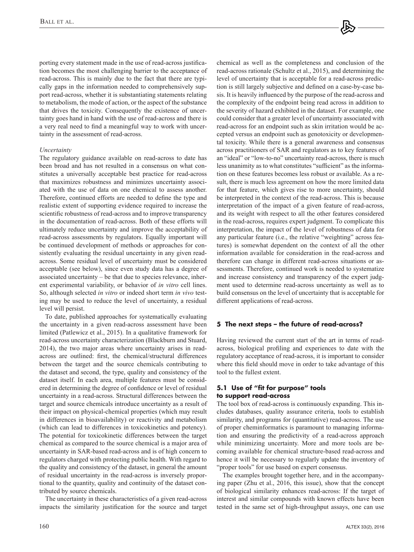porting every statement made in the use of read-across justification becomes the most challenging barrier to the acceptance of read-across. This is mainly due to the fact that there are typically gaps in the information needed to comprehensively support read-across, whether it is substantiating statements relating to metabolism, the mode of action, or the aspect of the substance that drives the toxicity. Consequently the existence of uncertainty goes hand in hand with the use of read-across and there is a very real need to find a meaningful way to work with uncertainty in the assessment of read-across.

#### *Uncertainty*

The regulatory guidance available on read-across to date has been broad and has not resulted in a consensus on what constitutes a universally acceptable best practice for read-across that maximizes robustness and minimizes uncertainty associated with the use of data on one chemical to assess another. Therefore, continued efforts are needed to define the type and realistic extent of supporting evidence required to increase the scientific robustness of read-across and to improve transparency in the documentation of read-across. Both of these efforts will ultimately reduce uncertainty and improve the acceptability of read-across assessments by regulators. Equally important will be continued development of methods or approaches for consistently evaluating the residual uncertainty in any given readacross. Some residual level of uncertainty must be considered acceptable (see below), since even study data has a degree of associated uncertainty – be that due to species relevance, inherent experimental variability, or behavior of *in vitro* cell lines. So, although selected *in vitro* or indeed short term *in vivo* testing may be used to reduce the level of uncertainty, a residual level will persist.

To date, published approaches for systematically evaluating the uncertainty in a given read-across assessment have been limited (Patlewicz et al., 2015). In a qualitative framework for read-across uncertainty characterization (Blackburn and Stuard, 2014), the two major areas where uncertainty arises in readacross are outlined: first, the chemical/structural differences between the target and the source chemicals contributing to the dataset and second, the type, quality and consistency of the dataset itself. In each area, multiple features must be considered in determining the degree of confidence or level of residual uncertainty in a read-across. Structural differences between the target and source chemicals introduce uncertainty as a result of their impact on physical-chemical properties (which may result in differences in bioavailability) or reactivity and metabolism (which can lead to differences in toxicokinetics and potency). The potential for toxicokinetic differences between the target chemical as compared to the source chemical is a major area of uncertainty in SAR-based read-across and is of high concern to regulators charged with protecting public health. With regard to the quality and consistency of the dataset, in general the amount of residual uncertainty in the read-across is inversely proportional to the quantity, quality and continuity of the dataset contributed by source chemicals.

The uncertainty in these characteristics of a given read-across impacts the similarity justification for the source and target read-across rationale (Schultz et al., 2015), and determining the level of uncertainty that is acceptable for a read-across prediction is still largely subjective and defined on a case-by-case basis. It is heavily influenced by the purpose of the read-across and the complexity of the endpoint being read across in addition to the severity of hazard exhibited in the dataset. For example, one could consider that a greater level of uncertainty associated with read-across for an endpoint such as skin irritation would be accepted versus an endpoint such as genotoxicity or developmental toxicity. While there is a general awareness and consensus across practitioners of SAR and regulators as to key features of an "ideal" or "low-to-no" uncertainty read-across, there is much less unanimity as to what constitutes "sufficient" as the information on these features becomes less robust or available. As a result, there is much less agreement on how the more limited data for that feature, which gives rise to more uncertainty, should be interpreted in the context of the read-across. This is because interpretation of the impact of a given feature of read-across, and its weight with respect to all the other features considered in the read-across, requires expert judgment. To complicate this interpretation, the impact of the level of robustness of data for any particular feature (i.e., the relative "weighting" across features) is somewhat dependent on the context of all the other information available for consideration in the read-across and therefore can change in different read-across situations or assessments. Therefore, continued work is needed to systematize and increase consistency and transparency of the expert judgment used to determine read-across uncertainty as well as to build consensus on the level of uncertainty that is acceptable for different applications of read-across.

chemical as well as the completeness and conclusion of the

## **5 The next steps – the future of read-across?**

Having reviewed the current start of the art in terms of readacross, biological profiling and experiences to date with the regulatory acceptance of read-across, it is important to consider where this field should move in order to take advantage of this tool to the fullest extent.

# **5.1 Use of "fit for purpose" tools to support read-across**

The tool box of read-across is continuously expanding. This includes databases, quality assurance criteria, tools to establish similarity, and programs for (quantitative) read-across. The use of proper cheminformatics is paramount to managing information and ensuring the predictivity of a read-across approach while minimizing uncertainty. More and more tools are becoming available for chemical structure-based read-across and hence it will be necessary to regularly update the inventory of "proper tools" for use based on expert consensus.

The examples brought together here, and in the accompanying paper (Zhu et al., 2016, this issue), show that the concept of biological similarity enhances read-across: If the target of interest and similar compounds with known effects have been tested in the same set of high-throughput assays, one can use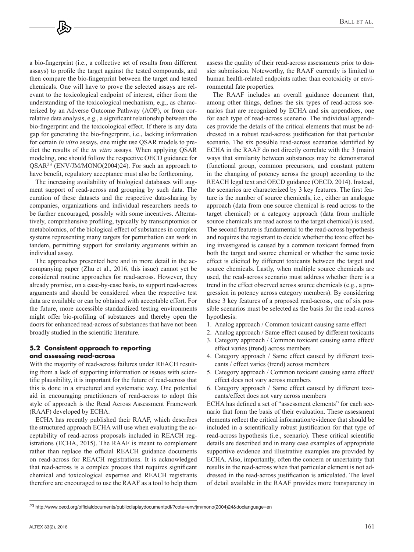a bio-fingerprint (i.e., a collective set of results from different assays) to profile the target against the tested compounds, and then compare the bio-fingerprint between the target and tested chemicals. One will have to prove the selected assays are relevant to the toxicological endpoint of interest, either from the understanding of the toxicological mechanism, e.g., as characterized by an Adverse Outcome Pathway (AOP), or from correlative data analysis, e.g., a significant relationship between the bio-fingerprint and the toxicological effect. If there is any data gap for generating the bio-fingerprint, i.e., lacking information for certain *in vitro* assays, one might use QSAR models to predict the results of the *in vitro* assays. When applying QSAR modeling, one should follow the respective OECD guidance for QSAR23 (ENV/JM/MONO(2004)24). For such an approach to have benefit, regulatory acceptance must also be forthcoming.

The increasing availability of biological databases will augment support of read-across and grouping by such data. The curation of these datasets and the respective data-sharing by companies, organizations and individual researchers needs to be further encouraged, possibly with some incentives. Alternatively, comprehensive profiling, typically by transcriptomics or metabolomics, of the biological effect of substances in complex systems representing many targets for perturbation can work in tandem, permitting support for similarity arguments within an individual assay.

The approaches presented here and in more detail in the accompanying paper (Zhu et al., 2016, this issue) cannot yet be considered routine approaches for read-across. However, they already promise, on a case-by-case basis, to support read-across arguments and should be considered when the respective test data are available or can be obtained with acceptable effort. For the future, more accessible standardized testing environments might offer bio-profiling of substances and thereby open the doors for enhanced read-across of substances that have not been broadly studied in the scientific literature.

## **5.2 Consistent approach to reporting and assessing read-across**

With the majority of read-across failures under REACH resulting from a lack of supporting information or issues with scientific plausibility, it is important for the future of read-across that this is done in a structured and systematic way. One potential aid in encouraging practitioners of read-across to adopt this style of approach is the Read Across Assessment Framework (RAAF) developed by ECHA.

ECHA has recently published their RAAF, which describes the structured approach ECHA will use when evaluating the acceptability of read-across proposals included in REACH registrations (ECHA, 2015). The RAAF is meant to complement rather than replace the official REACH guidance documents on read-across for REACH registrations. It is acknowledged that read-across is a complex process that requires significant chemical and toxicological expertise and REACH registrants therefore are encouraged to use the RAAF as a tool to help them

assess the quality of their read-across assessments prior to dossier submission. Noteworthy, the RAAF currently is limited to human health-related endpoints rather than ecotoxicity or environmental fate properties.

The RAAF includes an overall guidance document that, among other things, defines the six types of read-across scenarios that are recognized by ECHA and six appendices, one for each type of read-across scenario. The individual appendices provide the details of the critical elements that must be addressed in a robust read-across justification for that particular scenario. The six possible read-across scenarios identified by ECHA in the RAAF do not directly correlate with the 3 (main) ways that similarity between substances may be demonstrated (functional group, common precursors, and constant pattern in the changing of potency across the group) according to the REACH legal text and OECD guidance (OECD, 2014). Instead, the scenarios are characterized by 3 key features. The first feature is the number of source chemicals, i.e., either an analogue approach (data from one source chemical is read across to the target chemical) or a category approach (data from multiple source chemicals are read across to the target chemical) is used. The second feature is fundamental to the read-across hypothesis and requires the registrant to decide whether the toxic effect being investigated is caused by a common toxicant formed from both the target and source chemical or whether the same toxic effect is elicited by different toxicants between the target and source chemicals. Lastly, when multiple source chemicals are used, the read-across scenario must address whether there is a trend in the effect observed across source chemicals (e.g., a progression in potency across category members). By considering these 3 key features of a proposed read-across, one of six possible scenarios must be selected as the basis for the read-across hypothesis:

- 1. Analog approach / Common toxicant causing same effect
- 2. Analog approach / Same effect caused by different toxicants
- 3. Category approach / Common toxicant causing same effect/ effect varies (trend) across members
- 4. Category approach / Same effect caused by different toxicants / effect varies (trend) across members
- 5. Category approach / Common toxicant causing same effect/ effect does not vary across members
- 6. Category approach / Same effect caused by different toxicants/effect does not vary across members

ECHA has defined a set of "assessment elements" for each scenario that form the basis of their evaluation. These assessment elements reflect the critical information/evidence that should be included in a scientifically robust justification for that type of read-across hypothesis (i.e., scenario). These critical scientific details are described and in many case examples of appropriate supportive evidence and illustrative examples are provided by ECHA. Also, importantly, often the concern or uncertainty that results in the read-across when that particular element is not addressed in the read-across justification is articulated. The level of detail available in the RAAF provides more transparency in

<sup>23</sup> [http://www.oecd.org/officialdocuments/publicdisplaydocumentpdf/?cote=env/jm/mono\(2004\)24&doclanguage=en](http://www.oecd.org/officialdocuments/publicdisplaydocumentpdf/?cote=env/jm/mono(2004)24&doclanguage=en)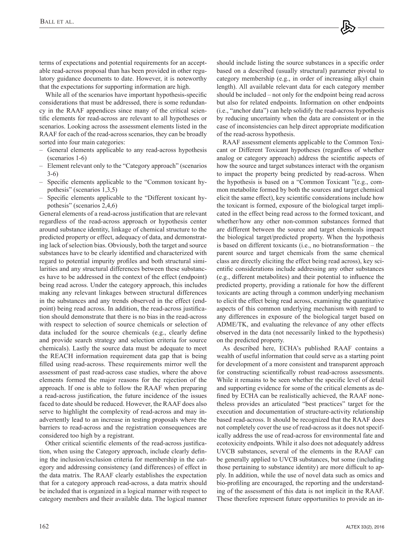terms of expectations and potential requirements for an acceptable read-across proposal than has been provided in other regulatory guidance documents to date. However, it is noteworthy that the expectations for supporting information are high.

While all of the scenarios have important hypothesis-specific considerations that must be addressed, there is some redundancy in the RAAF appendices since many of the critical scientific elements for read-across are relevant to all hypotheses or scenarios. Looking across the assessment elements listed in the RAAF for each of the read-across scenarios, they can be broadly sorted into four main categories:

- General elements applicable to any read-across hypothesis (scenarios 1-6)
- Element relevant only to the "Category approach" (scenarios 3-6)
- Specific elements applicable to the "Common toxicant hypothesis" (scenarios 1,3,5)
- Specific elements applicable to the "Different toxicant hypothesis" (scenarios 2,4,6)

General elements of a read-across justification that are relevant regardless of the read-across approach or hypothesis center around substance identity, linkage of chemical structure to the predicted property or effect, adequacy of data, and demonstrating lack of selection bias. Obviously, both the target and source substances have to be clearly identified and characterized with regard to potential impurity profiles and both structural similarities and any structural differences between these substances have to be addressed in the context of the effect (endpoint) being read across. Under the category approach, this includes making any relevant linkages between structural differences in the substances and any trends observed in the effect (endpoint) being read across. In addition, the read-across justification should demonstrate that there is no bias in the read-across with respect to selection of source chemicals or selection of data included for the source chemicals (e.g., clearly define and provide search strategy and selection criteria for source chemicals). Lastly the source data must be adequate to meet the REACH information requirement data gap that is being filled using read-across. These requirements mirror well the assessment of past read-across case studies, where the above elements formed the major reasons for the rejection of the approach. If one is able to follow the RAAF when preparing a read-across justification, the future incidence of the issues faced to date should be reduced. However, the RAAF does also serve to highlight the complexity of read-across and may inadvertently lead to an increase in testing proposals where the barriers to read-across and the registration consequences are considered too high by a registrant.

Other critical scientific elements of the read-across justification, when using the Category approach, include clearly defining the inclusion/exclusion criteria for membership in the category and addressing consistency (and differences) of effect in the data matrix. The RAAF clearly establishes the expectation that for a category approach read-across, a data matrix should be included that is organized in a logical manner with respect to category members and their available data. The logical manner should include listing the source substances in a specific order based on a described (usually structural) parameter pivotal to category membership (e.g., in order of increasing alkyl chain length). All available relevant data for each category member should be included – not only for the endpoint being read across but also for related endpoints. Information on other endpoints (i.e., "anchor data") can help solidify the read-across hypothesis by reducing uncertainty when the data are consistent or in the case of inconsistencies can help direct appropriate modification of the read-across hypothesis.

RAAF assessment elements applicable to the Common Toxicant or Different Toxicant hypotheses (regardless of whether analog or category approach) address the scientific aspects of how the source and target substances interact with the organism to impact the property being predicted by read-across. When the hypothesis is based on a "Common Toxicant "(e.g., common metabolite formed by both the sources and target chemical elicit the same effect), key scientific considerations include how the toxicant is formed, exposure of the biological target implicated in the effect being read across to the formed toxicant, and whether/how any other non-common substances formed that are different between the source and target chemicals impact the biological target/predicted property. When the hypothesis is based on different toxicants (i.e., no biotransformation – the parent source and target chemicals from the same chemical class are directly eliciting the effect being read across), key scientific considerations include addressing any other substances (e.g., different metabolites) and their potential to influence the predicted property, providing a rationale for how the different toxicants are acting through a common underlying mechanism to elicit the effect being read across, examining the quantitative aspects of this common underlying mechanism with regard to any differences in exposure of the biological target based on ADME/TK, and evaluating the relevance of any other effects observed in the data (not necessarily linked to the hypothesis) on the predicted property.

As described here, ECHA's published RAAF contains a wealth of useful information that could serve as a starting point for development of a more consistent and transparent approach for constructing scientifically robust read-across assessments. While it remains to be seen whether the specific level of detail and supporting evidence for some of the critical elements as defined by ECHA can be realistically achieved, the RAAF nonetheless provides an articulated "best practices" target for the execution and documentation of structure-activity relationship based read-across. It should be recognized that the RAAF does not completely cover the use of read-across as it does not specifically address the use of read-across for environmental fate and ecotoxicity endpoints. While it also does not adequately address UVCB substances, several of the elements in the RAAF can be generally applied to UVCB substances, but some (including those pertaining to substance identity) are more difficult to apply. In addition, while the use of novel data such as omics and bio-profiling are encouraged, the reporting and the understanding of the assessment of this data is not implicit in the RAAF. These therefore represent future opportunities to provide an in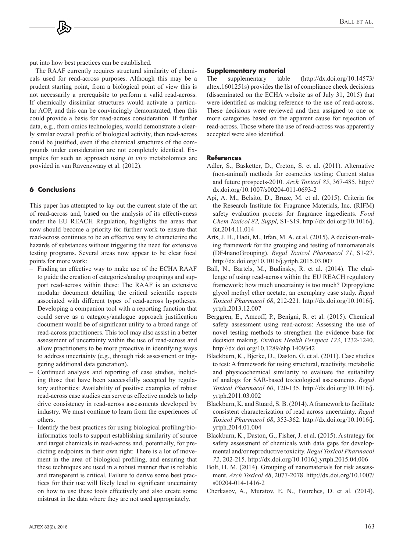put into how best practices can be established.

The RAAF currently requires structural similarity of chemicals used for read-across purposes. Although this may be a prudent starting point, from a biological point of view this is not necessarily a prerequisite to perform a valid read-across. If chemically dissimilar structures would activate a particular AOP, and this can be convincingly demonstrated, then this could provide a basis for read-across consideration. If further data, e.g., from omics technologies, would demonstrate a clearly similar overall profile of biological activity, then read-across could be justified, even if the chemical structures of the compounds under consideration are not completely identical. Examples for such an approach using *in vivo* metabolomics are provided in van Ravenzwaay et al. (2012).

## **6 Conclusions**

This paper has attempted to lay out the current state of the art of read-across and, based on the analysis of its effectiveness under the EU REACH Regulation, highlights the areas that now should become a priority for further work to ensure that read-across continues to be an effective way to characterize the hazards of substances without triggering the need for extensive testing programs. Several areas now appear to be clear focal points for more work:

- Finding an effective way to make use of the ECHA RAAF to guide the creation of categories/analog groupings and support read-across within these: The RAAF is an extensive modular document detailing the critical scientific aspects associated with different types of read-across hypotheses. Developing a companion tool with a reporting function that could serve as a category/analogue approach justification document would be of significant utility to a broad range of read-across practitioners. This tool may also assist in a better assessment of uncertainty within the use of read-across and allow practitioners to be more proactive in identifying ways to address uncertainty (e.g., through risk assessment or triggering additional data generation).
- Continued analysis and reporting of case studies, including those that have been successfully accepted by regulatory authorities: Availability of positive examples of robust read-across case studies can serve as effective models to help drive consistency in read-across assessments developed by industry. We must continue to learn from the experiences of others.
- Identify the best practices for using biological profiling/bioinformatics tools to support establishing similarity of source and target chemicals in read-across and, potentially, for predicting endpoints in their own right: There is a lot of movement in the area of biological profiling, and ensuring that these techniques are used in a robust manner that is reliable and transparent is critical. Failure to derive some best practices for their use will likely lead to significant uncertainty on how to use these tools effectively and also create some mistrust in the data where they are not used appropriately.

## **Supplementary material**

The supplementary table [\(http://dx.doi.org/10.14573/](http://dx.doi.org/10.14573/altex.1601251s)  [altex.1601251s\)](http://dx.doi.org/10.14573/altex.1601251s) provides the list of compliance check decisions (disseminated on the ECHA website as of July 31, 2015) that were identified as making reference to the use of read-across. These decisions were reviewed and then assigned to one or more categories based on the apparent cause for rejection of read-across. Those where the use of read-across was apparently accepted were also identified.

#### **References**

- Adler, S., Basketter, D., Creton, S. et al. (2011). Alternative (non-animal) methods for cosmetics testing: Current status and future prospects-2010. *Arch Toxicol 85*, 367-485. [http://](http://dx.doi.org/10.1007/s00204-011-0693-2) [dx.doi.org/10.1007/s00204-011-0693-2](http://dx.doi.org/10.1007/s00204-011-0693-2)
- Api, A. M., Belsito, D., Bruze, M. et al. (2015). Criteria for the Research Institute for Fragrance Materials, Inc. (RIFM) safety evaluation process for fragrance ingredients. *Food Chem Toxicol 82, Suppl,* S1-S19. [http://dx.doi.org/10.1016/j.](http://dx.doi.org/10.1016/j.fct.2014.11.014) [fct.2014.11.014](http://dx.doi.org/10.1016/j.fct.2014.11.014)
- Arts, J. H., Hadi, M., Irfan, M. A. et al. (2015). A decision-making framework for the grouping and testing of nanomaterials (DF4nanoGrouping). *Regul Toxicol Pharmacol 71*, S1-27. <http://dx.doi.org/10.1016/j.yrtph.2015.03.007>
- Ball, N., Bartels, M., Budinsky, R. et al. (2014). The challenge of using read-across within the EU REACH regulatory framework; how much uncertainty is too much? Dipropylene glycol methyl ether acetate, an exemplary case study. *Regul Toxicol Pharmacol 68*, 212-221. [http://dx.doi.org/10.1016/j.](http://dx.doi.org/10.1016/j.yrtph.2013.12.007) [yrtph.2013.12.007](http://dx.doi.org/10.1016/j.yrtph.2013.12.007)
- Berggren, E., Amcoff, P., Benigni, R. et al. (2015). Chemical safety assessment using read-across: Assessing the use of novel testing methods to strengthen the evidence base for decision making. *Environ Health Perspect 123*, 1232-1240. <http://dx.doi.org/10.1289/ehp.1409342>
- Blackburn, K., Bjerke, D., Daston, G. et al. (2011). Case studies to test: A framework for using structural, reactivity, metabolic and physicochemical similarity to evaluate the suitability of analogs for SAR-based toxicological assessments. *Regul Toxicol Pharmacol 60*, 120-135. [http://dx.doi.org/10.1016/j.](http://dx.doi.org/10.1016/j.yrtph.2011.03.002) [yrtph.2011.03.002](http://dx.doi.org/10.1016/j.yrtph.2011.03.002)
- Blackburn, K. and Stuard, S. B. (2014). A framework to facilitate consistent characterization of read across uncertainty. *Regul Toxicol Pharmacol 68*, 353-362. [http://dx.doi.org/10.1016/j.](http://dx.doi.org/10.1016/j.yrtph.2014.01.004) [yrtph.2014.01.004](http://dx.doi.org/10.1016/j.yrtph.2014.01.004)
- Blackburn, K., Daston, G., Fisher, J. et al. (2015). A strategy for safety assessment of chemicals with data gaps for developmental and/or reproductive toxicity. *Regul Toxicol Pharmacol 72*, 202-215. <http://dx.doi.org/10.1016/j.yrtph.2015.04.006>
- Bolt, H. M. (2014). Grouping of nanomaterials for risk assessment. *Arch Toxicol 88*, 2077-2078. [http://dx.doi.org/10.1007/](http://dx.doi.org/10.1007/s00204-014-1416-2) [s00204-014-1416-2](http://dx.doi.org/10.1007/s00204-014-1416-2)
- Cherkasov, A., Muratov, E. N., Fourches, D. et al. (2014).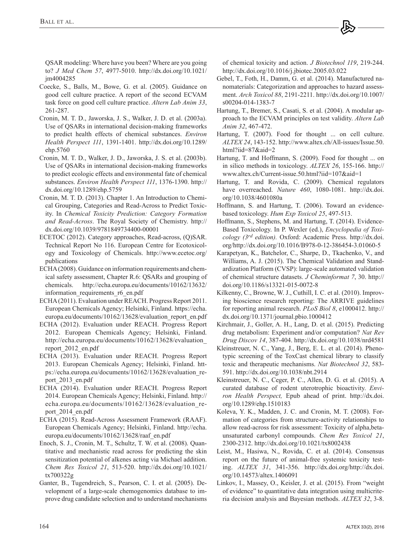QSAR modeling: Where have you been? Where are you going to? *J Med Chem 57*, 4977-5010. [http://dx.doi.org/10.1021/](http://dx.doi.org/10.1021/jm4004285) [jm4004285](http://dx.doi.org/10.1021/jm4004285) 

- Coecke, S., Balls, M., Bowe, G. et al. (2005). Guidance on good cell culture practice. A report of the second ECVAM task force on good cell culture practice. *Altern Lab Anim 33*, 261-287.
- Cronin, M. T. D., Jaworska, J. S., Walker, J. D. et al. (2003a). Use of QSARs in international decision-making frameworks to predict health effects of chemical substances. *Environ Health Perspect 111*, 1391-1401. [http://dx.doi.org/10.1289/](http://dx.doi.org/10.1289/ehp.5760) [ehp.5760](http://dx.doi.org/10.1289/ehp.5760)
- Cronin, M. T. D., Walker, J. D., Jaworska, J. S. et al. (2003b). Use of QSARs in international decision-making frameworks to predict ecologic effects and environmental fate of chemical substances. *Environ Health Perspect 111*, 1376-1390. [http://](http://dx.doi.org/10.1289/ehp.5759) [dx.doi.org/10.1289/ehp.5759](http://dx.doi.org/10.1289/ehp.5759)
- Cronin, M. T. D. (2013). Chapter 1. An Introduction to Chemical Grouping, Categories and Read-Across to Predict Toxicity. In *Chemical Toxicity Prediction: Category Formation and Read-Across*. The Royal Society of Chemistry. [http://](http://dx.doi.org/10.1039/9781849734400-00001) [dx.doi.org/10.1039/9781849734400-00001](http://dx.doi.org/10.1039/9781849734400-00001)
- ECETOC (2012). Category approaches, Read-across, (Q)SAR. Technical Report No 116. European Centre for Ecotoxicology and Toxicology of Chemicals. [http://www.ecetoc.org/](http://www.ecetoc.org/publications) [publications](http://www.ecetoc.org/publications)
- ECHA (2008). Guidance on information requirements and chemical safety assessment, Chapter R.6: QSARs and grouping of chemicals. [http://echa.europa.eu/documents/10162/13632/](http://echa.europa.eu/documents/10162/13632/information_requirements_r6_en.pdf) information requirements r6 en.pdf
- ECHA (2011). Evaluation under REACH. Progress Report 2011. European Chemicals Agency; Helsinki, Finland. [https://echa.](https://echa.europa.eu/documents/10162/13628/evaluation_report_en.pdf) [europa.eu/documents/10162/13628/evaluation\\_report\\_en.pdf](https://echa.europa.eu/documents/10162/13628/evaluation_report_en.pdf)
- ECHA (2012). Evaluation under REACH. Progress Report 2012. European Chemicals Agency; Helsinki, Finland. [http://echa.europa.eu/documents/10162/13628/evaluation\\_](http://echa.europa.eu/documents/10162/13628/evaluation_report_2012_en.pdf) [report\\_2012\\_en.pdf](http://echa.europa.eu/documents/10162/13628/evaluation_report_2012_en.pdf)
- ECHA (2013). Evaluation under REACH. Progress Report 2013. European Chemicals Agency; Helsinki, Finland. htt[ps://echa.europa.eu/documents/10162/13628/evaluation\\_re](https://echa.europa.eu/documents/10162/13628/evaluation_report_2013_en.pdf)port\_2013\_en.pdf
- ECHA (2014). Evaluation under REACH. Progress Report 2014. European Chemicals Agency; Helsinki, Finland. [http://](http://echa.europa.eu/documents/10162/13628/evaluation_re�port_2014_en.pdf) [echa.europa.eu/documents/10162/13628/evaluation\\_re](http://echa.europa.eu/documents/10162/13628/evaluation_re�port_2014_en.pdf)port[\\_2014\\_en.pdf](http://echa.europa.eu/documents/10162/13628/evaluation_re�port_2014_en.pdf)
- ECHA (2015). Read-Across Assessment Framework (RAAF). European Chemicals Agency; Helsinki, Finland. [http://echa.](http://echa.europa.eu/documents/10162/13628/raaf_en.pdf) [europa.eu/documents/10162/13628/raaf\\_en.pdf](http://echa.europa.eu/documents/10162/13628/raaf_en.pdf)
- Enoch, S. J., Cronin, M. T., Schultz, T. W. et al. (2008). Quantitative and mechanistic read across for predicting the skin sensitization potential of alkenes acting via Michael addition. *Chem Res Toxicol 21*, 513-520. [http://dx.doi.org/10.1021/](http://dx.doi.org/10.1021/tx700322g) [tx700322g](http://dx.doi.org/10.1021/tx700322g)
- Ganter, B., Tugendreich, S., Pearson, C. I. et al. (2005). Development of a large-scale chemogenomics database to improve drug candidate selection and to understand mechanisms

of chemical toxicity and action. *J Biotechnol 119*, 219-244. <http://dx.doi.org/10.1016/j.jbiotec.2005.03.022>

- Gebel, T., Foth, H., Damm, G. et al. (2014). Manufactured nanomaterials: Categorization and approaches to hazard assessment. *Arch Toxicol 88*, 2191-2211. [http://dx.doi.org/10.1007/](http://dx.doi.org/10.1007/s00204-014-1383-7) [s00204-014-1383-7](http://dx.doi.org/10.1007/s00204-014-1383-7)
- Hartung, T., Bremer, S., Casati, S. et al. (2004). A modular approach to the ECVAM principles on test validity. *Altern Lab Anim 32*, 467-472.
- Hartung, T. (2007). Food for thought ... on cell culture. *ALTEX 24*, 143-152. [http://www.altex.ch/All-issues/Issue.50.](http://www.altex.ch/All-issues/Issue.50.html?iid=87&aid=2) [html?iid=87&aid=2](http://www.altex.ch/All-issues/Issue.50.html?iid=87&aid=2)
- Hartung, T. and Hoffmann, S. (2009). Food for thought ... on in silico methods in toxicology. *ALTEX 26*, 155-166. [http://](http://www.altex.ch/Current-issue.50.html?iid=107&aid=1) [www.altex.ch/Current-issue.50.html?iid=107&aid=1](http://www.altex.ch/Current-issue.50.html?iid=107&aid=1)
- Hartung, T. and Rovida, C. (2009). Chemical regulators have overreached. *Nature 460*, 1080-1081. [http://dx.doi.](http://dx.doi.org/10.1038/4601080a) [org/10.1038/4601080a](http://dx.doi.org/10.1038/4601080a)
- Hoffmann, S. and Hartung, T. (2006). Toward an evidencebased toxicology. *Hum Exp Toxicol 25*, 497-513.
- Hoffmann, S., Stephens, M. and Hartung, T. (2014). Evidence-Based Toxicology. In P. Wexler (ed.), *Encyclopedia of Toxicology (3rd edition).* Oxford: Academic Press. [http://dx.doi.](http://dx.doi.org/) [org/http://dx](http://dx.doi.org/)[.doi.org/10.1016/B978-0-12-386454-3.01060-5](http://dx.doi.org/10.1016/B978-0-12-386454-3.01060-5)
- Karapetyan, K., Batchelor, C., Sharpe, D., Tkachenko, V., and Williams, A. J. (2015). The Chemical Validation and Standardization Platform (CVSP): large-scale automated validation of chemical structure datasets. *J Cheminformat 7*, 30. [http://](http://doi.org/10.1186/s13321-015-0072-8) [doi.org/10.1186/s13321-015-0072-8](http://doi.org/10.1186/s13321-015-0072-8)
- Kilkenny, C., Browne, W. J., Cuthill, I. C. et al. (2010). Improving bioscience research reporting: The ARRIVE guidelines for reporting animal research. *PLoS Biol 8*, e1000412. [http://](http://dx.doi.org/10.1371/journal.pbio.1000412) [dx.doi.org/10.1371/journal.pbio.1000412](http://dx.doi.org/10.1371/journal.pbio.1000412)
- Kirchmair, J., Goller, A. H., Lang, D. et al. (2015). Predicting drug metabolism: Experiment and/or computation? *Nat Rev Drug Discov 14*, 387-404.<http://dx.doi.org/10.1038/nrd4581>
- Kleinstreuer, N. C., Yang, J., Berg, E. L. et al. (2014). Phenotypic screening of the ToxCast chemical library to classify toxic and therapeutic mechanisms. *Nat Biotechnol 32*, 583- 591.<http://dx.doi.org/10.1038/nbt.2914>
- Kleinstreuer, N. C., Ceger, P. C., Allen, D. G. et al. (2015). A curated database of rodent uterotrophic bioactivity. *Environ Health Perspect,* Epub ahead of print. [http://dx.doi.](http://dx.doi.org/10.1289/ehp.1510183) [org/10.1289/ehp.1510183](http://dx.doi.org/10.1289/ehp.1510183)
- Koleva, Y. K., Madden, J. C. and Cronin, M. T. (2008). Formation of categories from structure-activity relationships to allow read-across for risk assessment: Toxicity of alpha,betaunsaturated carbonyl compounds. *Chem Res Toxicol 21*, 2300-2312.<http://dx.doi.org/10.1021/tx8002438>
- Leist, M., Hasiwa, N., Rovida, C. et al. (2014). Consensus report on the future of animal-free systemic toxicity testing. *ALTEX 31*, 341-356. [http://dx.doi.org/http://dx](http://dx.doi.org/)[.doi.](http://dx.doi.org/10.14573/altex.1406091) [org/10.14573/altex.1406091](http://dx.doi.org/10.14573/altex.1406091)
- Linkov, I., Massey, O., Keisler, J. et al. (2015). From "weight of evidence" to quantitative data integration using multicriteria decision analysis and Bayesian methods. *ALTEX 32*, 3-8.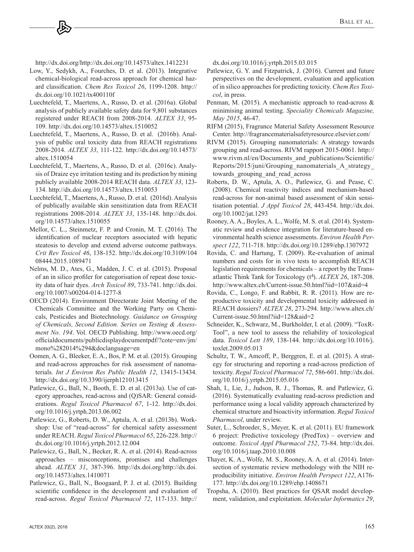[http://dx.doi.org/http://d](http://dx.doi.org/)[x.doi.org/10.14573/altex.1412231](http://dx.doi.org/10.14573/altex.1412231) 

- Low, Y., Sedykh, A., Fourches, D. et al. (2013). Integrative chemical-biological read-across approach for chemical hazard classification. *Chem Res Toxicol 26*, 1199-1208. [http://](http://dx.doi.org/10.1021/tx400110f) [dx.doi.org/10.1021/tx400110f](http://dx.doi.org/10.1021/tx400110f)
- Luechtefeld, T., Maertens, A., Russo, D. et al. (2016a). Global analysis of publicly available safety data for 9,801 substances registered under REACH from 2008-2014. *ALTEX 33*, 95- 109.<http://dx.doi.org/10.14573/altex.1510052>
- Luechtefeld, T., Maertens, A., Russo, D. et al. (2016b). Analysis of public oral toxicity data from REACH registrations 2008-2014. *ALTEX 33*, 111-122. [http://dx.doi.org/10.14573/](http://dx.doi.org/10.14573/altex.1510054) [altex.1510054](http://dx.doi.org/10.14573/altex.1510054)
- Luechtefeld, T., Maertens, A., Russo, D. et al. (2016c). Analysis of Draize eye irritation testing and its prediction by mining publicly available 2008-2014 REACH data. *ALTEX 33*, 123- 134.<http://dx.doi.org/10.14573/altex.1510053>
- Luechtefeld, T., Maertens, A., Russo, D. et al. (2016d). Analysis of publically available skin sensitization data from REACH registrations 2008-2014. *ALTEX 33*, 135-148. [http://dx.doi.](http://dx.doi.org/10.14573/altex.1510055) [org/10.14573/altex.1510055](http://dx.doi.org/10.14573/altex.1510055)
- Mellor, C. L., Steinmetz, F. P. and Cronin, M. T. (2016). The identification of nuclear receptors associated with hepatic steatosis to develop and extend adverse outcome pathways. *Crit Rev Toxicol 46*[, 138-152. http://dx.doi.org/10.3109/104](http://dx.doi.org/10.3109/10408444.2015.1089471) 08444.2015.1089471
- Nelms, M. D., Ates, G., Madden, J. C. et al. (2015). Proposal of an in silico profiler for categorisation of repeat dose toxicity data of hair dyes. *Arch Toxicol 89*, 733-741. [http://dx.doi.](http://dx.doi.org/10.1007/s00204-014-1277-8) [org/10.1007/s00204-014-1277-8](http://dx.doi.org/10.1007/s00204-014-1277-8)
- OECD (2014). Environment Directorate Joint Meeting of the Chemicals Committee and the Working Party on Chemicals, Pesticides and Biotechnology. *Guidance on Grouping of Chemicals, Second Edition. Series on Testing & Assessment No. 194*. Vol. OECD Publishing. [http://www.oecd.org/](http://www.oecd.org/officialdocuments/publicdisplaydocumentpdf/?cote=env/jm/mono%282014%294&doclanguage=en) [officialdocuments/publicdisplaydocumentpdf/?cote=env/jm/](http://www.oecd.org/officialdocuments/publicdisplaydocumentpdf/?cote=env/jm/mono%282014%294&doclanguage=en) [mono%282014%294&doclanguage=en](http://www.oecd.org/officialdocuments/publicdisplaydocumentpdf/?cote=env/jm/mono%282014%294&doclanguage=en)
- Oomen, A. G., Bleeker, E. A., Bos, P. M. et al. (2015). Grouping and read-across approaches for risk assessment of nanomaterials. *Int J Environ Res Public Health 12*, 13415-13434. <http://dx.doi.org/10.3390/ijerph121013415>
- Patlewicz, G., Ball, N., Booth, E. D. et al. (2013a). Use of category approaches, read-across and (Q)SAR: General considerations. *Regul Toxicol Pharmacol 67*, 1-12. [http://dx.doi.](http://dx.doi.org/10.1016/j.yrtph.2013.06.002) [org/10.1016/j.yrtph.2013.06.002](http://dx.doi.org/10.1016/j.yrtph.2013.06.002)
- Patlewicz, G., Roberts, D. W., Aptula, A. et al. (2013b). Workshop: Use of "read-across" for chemical safety assessment under REACH. *Regul Toxicol Pharmacol 65*, 226-228. [http://](http://dx.doi.org/10.1016/j.yrtph.2012.12.004) [dx.doi.org/10.1016/j.yrtph.2012.12.004](http://dx.doi.org/10.1016/j.yrtph.2012.12.004)
- Patlewicz, G., Ball, N., Becker, R. A. et al. (2014). Read-across approaches – misconceptions, promises and challenges ahead. *ALTEX 31*, 387-396. [http://dx.doi.org/http://dx](http://dx.doi.org/)[.doi.](http://dx.doi.org/10.14573/altex.1410071) [org/10.14573/altex.1410071](http://dx.doi.org/10.14573/altex.1410071)
- Patlewicz, G., Ball, N., Boogaard, P. J. et al. (2015). Building scientific confidence in the development and evaluation of read-across. *Regul Toxicol Pharmacol 72*, [117-133. http://](http://dx.doi.org/10.1016/j.yrtph.2015.03.015)

[dx.doi.org/10.1016/j.yrtph.2015.03.015](http://dx.doi.org/10.1016/j.yrtph.2015.03.015) 

- Patlewicz, G. Y. and Fitzpatrick, J. (2016). Current and future perspectives on the development, evaluation and application of in silico approaches for predicting toxicity. *Chem Res Toxicol*, in press.
- Penman, M. (2015). A mechanistic approach to read-across & minimising animal testing. *Speciality Chemicals Magazine, May 2015*, 46-47.
- RIFM (2015), Fragrance Material Safety Assessment Resource Center. <http://fragrancematerialsafetyresource.elsevier.com/>
- RIVM (2015). Grouping nanomaterials: A strategy towards grouping and read-across. RIVM rapport 2015-0061. [http://](http://www.rivm.nl/en/Documents_and_publications/Scientific/Reports/2015/juni/Grouping_nanomaterials_A_strategy_towards_grouping_and_read_across) [www.rivm.nl/en/Documents\\_and\\_publications/Scientific/](http://www.rivm.nl/en/Documents_and_publications/Scientific/Reports/2015/juni/Grouping_nanomaterials_A_strategy_towards_grouping_and_read_across) [Reports/2015/juni/Grouping\\_nanomaterials\\_A\\_strategy\\_](http://www.rivm.nl/en/Documents_and_publications/Scientific/Reports/2015/juni/Grouping_nanomaterials_A_strategy_towards_grouping_and_read_across) [towards\\_grouping\\_and\\_read\\_across](http://www.rivm.nl/en/Documents_and_publications/Scientific/Reports/2015/juni/Grouping_nanomaterials_A_strategy_towards_grouping_and_read_across)
- Roberts, D. W., Aptula, A. O., Patlewicz, G. and Pease, C. (2008). Chemical reactivity indices and mechanism-based read-across for non-animal based assessment of skin sensitisation potential. *J Appl Toxicol 28*, 443-454. [http://dx.doi.](http://dx.doi.org/10.1002/jat.1293) [org/10.1002/jat.1293](http://dx.doi.org/10.1002/jat.1293)
- Rooney, A. A., Boyles, A. L., Wolfe, M. S. et al. (2014). Systematic review and evidence integration for literature-based environmental health science assessments. *Environ Health Perspect 122*, 711-718. <http://dx.doi.org/10.1289/ehp.1307972>
- Rovida, C. and Hartung, T. (2009). Re-evaluation of animal numbers and costs for in vivo tests to accomplish REACH legislation requirements for chemicals – a report by the Transatlantic Think Tank for Toxicology (t<sup>4</sup>). *ALTEX 26*, 187-208. <http://www.altex.ch/Current-issue.50.html?iid=107&aid=4>
- Rovida, C., Longo, F. and Rabbit, R. R. (2011). How are reproductive toxicity and developmental toxicity addressed in REACH dossiers? *ALTEX 28*, 273-294. [http://www.altex.ch/](http://www.altex.ch/Current-issue.50.html?iid=128&aid=2) [Current-issue.50.html?iid=128&aid=2](http://www.altex.ch/Current-issue.50.html?iid=128&aid=2)
- Schneider, K., Schwarz, M., Burkholder, I. et al. (2009). "ToxR-Tool", a new tool to assess the reliability of toxicological data. *Toxicol Lett 189*, 138-144. [http://dx.doi.org/10.1016/j.](http://dx.doi.org/10.1016/j.toxlet.2009.05.013) [toxlet.2009.05.013](http://dx.doi.org/10.1016/j.toxlet.2009.05.013)
- Schultz, T. W., Amcoff, P., Berggren, E. et al. (2015). A strategy for structuring and reporting a read-across prediction of toxicity. *Regul Toxicol Pharmacol 72*, 586-601. [http://dx.doi.](http://dx.doi.org/10.1016/j.yrtph.2015.05.016) [org/10.1016/j.yrtph.2015.05.016](http://dx.doi.org/10.1016/j.yrtph.2015.05.016)
- Shah, I., Lie, J., Judson, R. J., Thomas, R. and Patlewicz, G. (2016). Systematically evaluating read-across prediction and performance using a local validity approach characterized by chemical structure and bioactivity information. *Regul Toxicol Pharmacol*, under review.
- Suter, L., Schroeder, S., Meyer, K. et al. (2011). EU framework 6 project: Predictive toxicology (PredTox) – overview and outcome. *Toxicol Appl Pharmacol 252*, 73-84. [http://dx.doi.](http://dx.doi.org/10.1016/j.taap.2010.10.008) [org/10.1016/j.taap.2010.10.008](http://dx.doi.org/10.1016/j.taap.2010.10.008)
- Thayer, K. A., Wolfe, M. S., Rooney, A. A. et al. (2014). Intersection of systematic review methodology with the NIH reproducibility initiative. *Environ Health Perspect 122*, A176- 177.<http://dx.doi.org/10.1289/ehp.1408671>
- Tropsha, A. (2010). Best practices for QSAR model development, validation, and exploitation. *Molecular Informatics 29*,